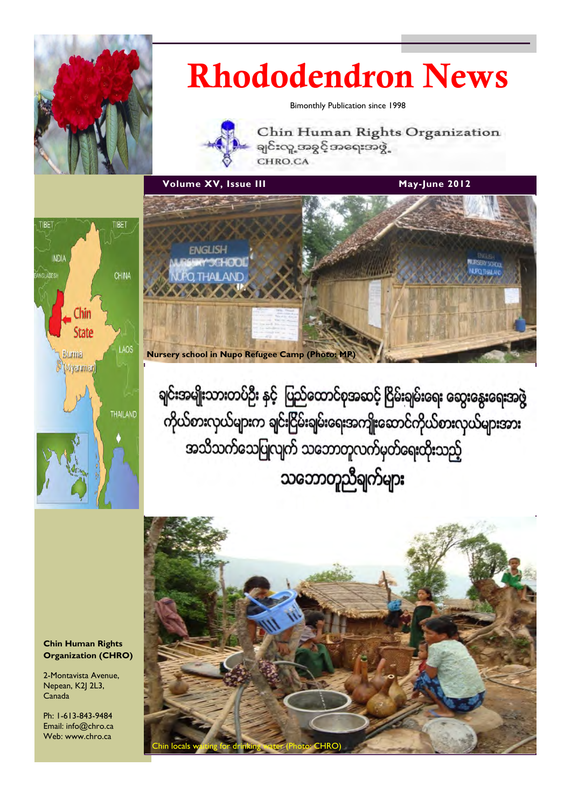

# Rhododendron News

Bimonthly Publication since 1998



Chin Human Rights Organization ချင်းလူ့ အခွင့်အရေးအဖွဲ့ CHRO.CA

volume XV, Issue III and the Control of May-June 2012





ရျင်းအမျိုးသားတပ်ဦး နှင့် ပြည်ထောင်စုအဆင့် ငြိမ်းရျမ်းရေး ဆွေးနွေးရေးအဖွဲ ကိုယ်စားလှယ်များက ချင်းငြိမ်းချမ်းရေးအကျိုးဆောင်ကိုယ်စားလှယ်များအား အသိသက်သေပြုလျက် သဘောတူလက်မှတ်ရေးထိုးသည့် သဘောတူညီချက်များ



#### Chin Human Rights Organization (CHRO)

2-Montavista Avenue, Nepean, K2J 2L3, Canada

Ph: 1-613-843-9484 Email: info@chro.ca Web: www.chro.ca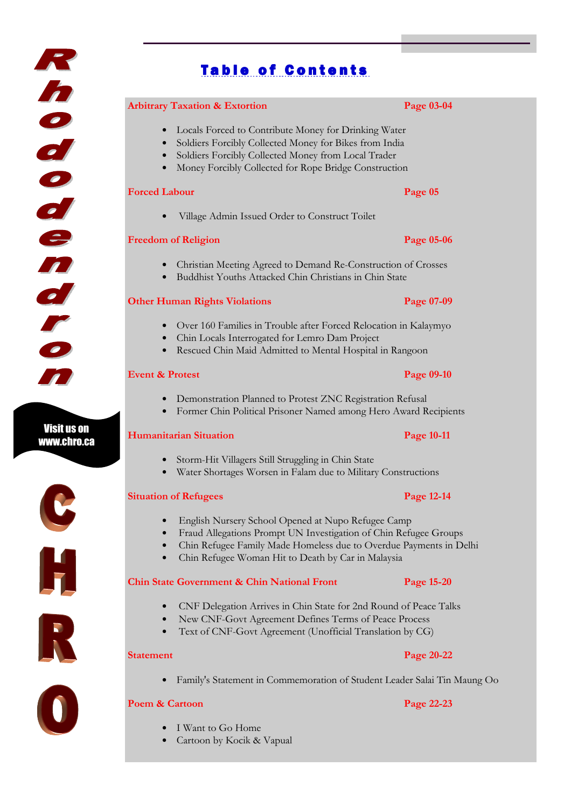# **Table of Contents**

#### Arbitrary Taxation & Extortion **Page 03-04**

### • Locals Forced to Contribute Money for Drinking Water

- Soldiers Forcibly Collected Money for Bikes from India
- Soldiers Forcibly Collected Money from Local Trader
- Money Forcibly Collected for Rope Bridge Construction

#### **Forced Labour Page 05**

• Village Admin Issued Order to Construct Toilet

#### **Freedom of Religion** Page 05-06

- Christian Meeting Agreed to Demand Re-Construction of Crosses
- Buddhist Youths Attacked Chin Christians in Chin State

### Other Human Rights Violations Page 07-09

- Over 160 Families in Trouble after Forced Relocation in Kalaymyo
- Chin Locals Interrogated for Lemro Dam Project
- Rescued Chin Maid Admitted to Mental Hospital in Rangoon

#### Event & Protest Page 09-10

- Demonstration Planned to Protest ZNC Registration Refusal
- Former Chin Political Prisoner Named among Hero Award Recipients

## **Humanitarian Situation Page 10-11**

- Storm-Hit Villagers Still Struggling in Chin State
- Water Shortages Worsen in Falam due to Military Constructions

#### Situation of Refugees **Page 12-14**

- English Nursery School Opened at Nupo Refugee Camp
- Fraud Allegations Prompt UN Investigation of Chin Refugee Groups
- Chin Refugee Family Made Homeless due to Overdue Payments in Delhi
- Chin Refugee Woman Hit to Death by Car in Malaysia

# Chin State Government & Chin National Front Page 15-20

- CNF Delegation Arrives in Chin State for 2nd Round of Peace Talks
- New CNF-Govt Agreement Defines Terms of Peace Process
- Text of CNF-Govt Agreement (Unofficial Translation by CG)

• Family's Statement in Commemoration of Student Leader Salai Tin Maung Oo

### Poem & Cartoon Page 22-23

- I Want to Go Home
- Cartoon by Kocik & Vapual

### Statement Page 20-22



Visit us on www.chro.ca

K

h

1000

den

el



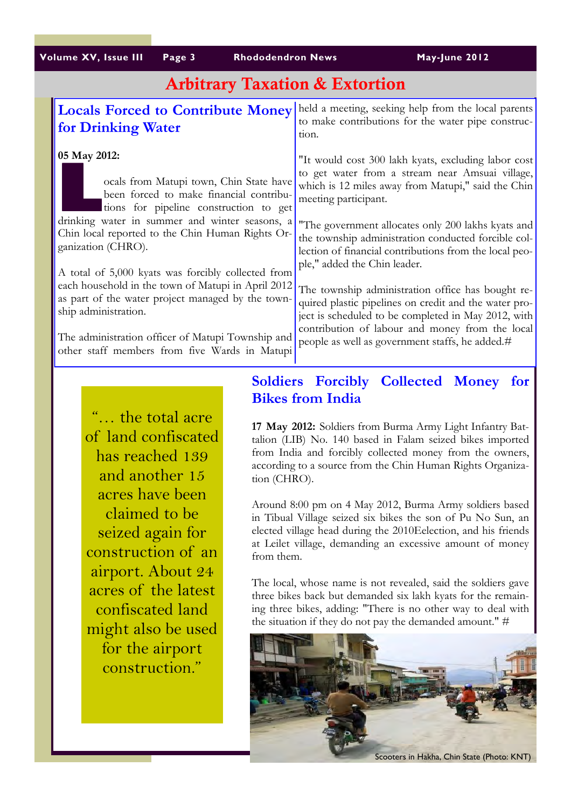| Volume XV, Issue III<br>Page 3 | Rhododendro |
|--------------------------------|-------------|
|--------------------------------|-------------|

vn News May-June 2012

# Arbitrary Taxation & Extortion

| <b>Locals Forced to Contribute Money</b><br>for Drinking Water                                                                                                                                 | held a meeting, seeking help from the local parents<br>to make contributions for the water pipe construc-<br>tion.                                                                                                                         |
|------------------------------------------------------------------------------------------------------------------------------------------------------------------------------------------------|--------------------------------------------------------------------------------------------------------------------------------------------------------------------------------------------------------------------------------------------|
| 05 May 2012:<br>ocals from Matupi town, Chin State have<br>been forced to make financial contribu-<br>tions for pipeline construction to get<br>drinking water in summer and winter seasons, a | "It would cost 300 lakh kyats, excluding labor cost<br>to get water from a stream near Amsuai village,<br>which is 12 miles away from Matupi," said the Chin<br>meeting participant.<br>"The government allocates only 200 lakhs kyats and |
| Chin local reported to the Chin Human Rights Or-<br>ganization (CHRO).<br>A total of 5,000 kyats was forcibly collected from                                                                   | the township administration conducted forcible col-<br>lection of financial contributions from the local peo-<br>ple," added the Chin leader.                                                                                              |
| each household in the town of Matupi in April 2012<br>as part of the water project managed by the town-<br>ship administration.                                                                | The township administration office has bought re-<br>quired plastic pipelines on credit and the water pro-<br>ject is scheduled to be completed in May 2012, with<br>contribution of labour and money from the local                       |
| The administration officer of Matupi Township and<br>other staff members from five Wards in Matupi                                                                                             | people as well as government staffs, he added.#                                                                                                                                                                                            |

"… the total acre of land confiscated has reached 139 and another 15 acres have been claimed to be seized again for construction of an airport. About 24 acres of the latest confiscated land might also be used for the airport construction."

# Soldiers Forcibly Collected Money for Bikes from India

17 May 2012: Soldiers from Burma Army Light Infantry Battalion (LIB) No. 140 based in Falam seized bikes imported from India and forcibly collected money from the owners, according to a source from the Chin Human Rights Organization (CHRO).

Around 8:00 pm on 4 May 2012, Burma Army soldiers based in Tibual Village seized six bikes the son of Pu No Sun, an elected village head during the 2010Eelection, and his friends at Leilet village, demanding an excessive amount of money from them.

The local, whose name is not revealed, said the soldiers gave three bikes back but demanded six lakh kyats for the remaining three bikes, adding: "There is no other way to deal with the situation if they do not pay the demanded amount." #

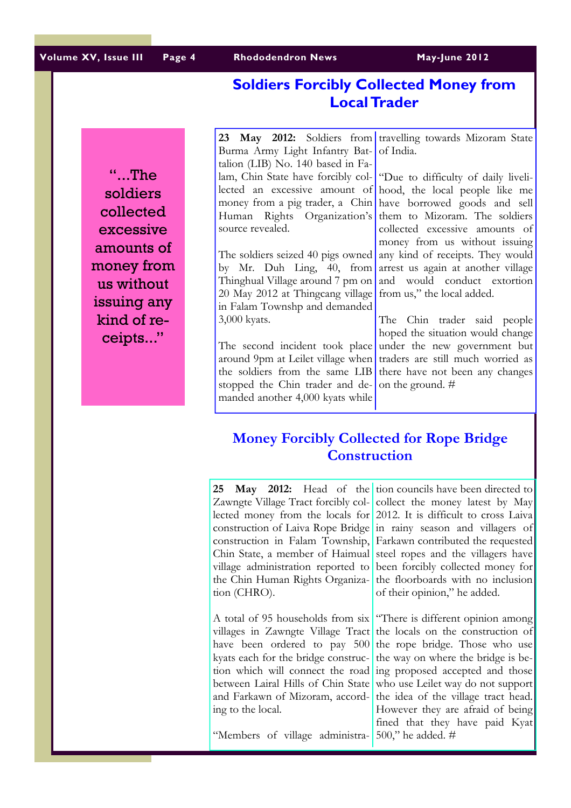Volume XV, Issue III Page 4 Rhododendron News May-June 2012

# Soldiers Forcibly Collected Money from Local Trader

"...The soldiers collected excessive amounts of money from us without issuing any kind of receipts..."

23 May 2012: Soldiers from Burma Army Light Infantry Battalion (LIB) No. 140 based in Falam, Chin State have forcibly collected an excessive amount of money from a pig trader, a Chin Human Rights Organization's source revealed.

The soldiers seized 40 pigs owned by Mr. Duh Ling, 40, from Thinghual Village around 7 pm on 20 May 2012 at Thingcang village in Falam Townshp and demanded 3,000 kyats.

The second incident took place around 9pm at Leilet village when the soldiers from the same LIB stopped the Chin trader and demanded another 4,000 kyats while

travelling towards Mizoram State of India.

"Due to difficulty of daily livelihood, the local people like me have borrowed goods and sell them to Mizoram. The soldiers collected excessive amounts of money from us without issuing any kind of receipts. They would arrest us again at another village and would conduct extortion from us," the local added.

The Chin trader said people hoped the situation would change under the new government but traders are still much worried as there have not been any changes on the ground. #

# Money Forcibly Collected for Rope Bridge **Construction**

**25 May 2012:** Head of the tion councils have been directed to Zawngte Village Tract forcibly collected money from the locals for 2012. It is difficult to cross Laiva construction of Laiva Rope Bridge in rainy season and villagers of construction in Falam Township, Chin State, a member of Haimual village administration reported to the Chin Human Rights Organization (CHRO).

A total of 95 households from six villages in Zawngte Village Tract have been ordered to pay 500 kyats each for the bridge construction which will connect the road ing proposed accepted and those between Lairal Hills of Chin State and Farkawn of Mizoram, according to the local.

"Members of village administra-

collect the money latest by May Farkawn contributed the requested steel ropes and the villagers have been forcibly collected money for the floorboards with no inclusion of their opinion," he added.

"There is different opinion among the locals on the construction of the rope bridge. Those who use the way on where the bridge is bewho use Leilet way do not support the idea of the village tract head. However they are afraid of being fined that they have paid Kyat 500," he added. #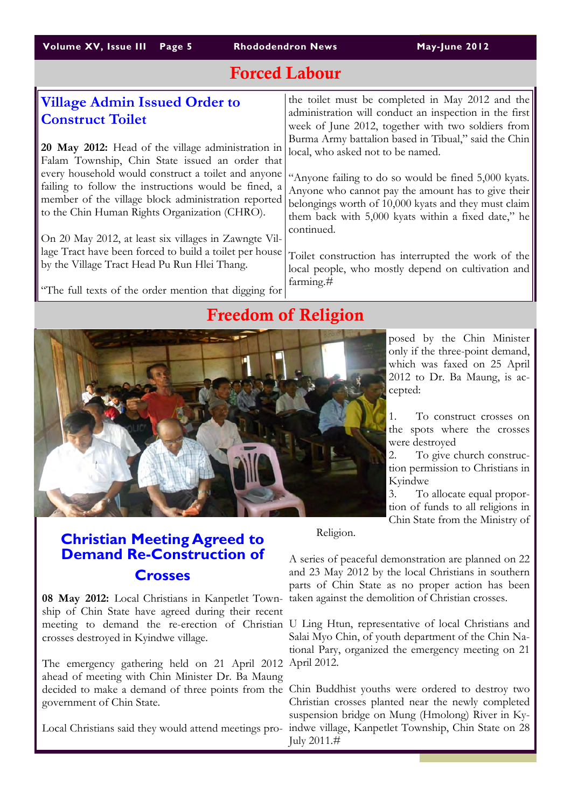# Forced Labour

| <b>Village Admin Issued Order to</b><br><b>Construct Toilet</b><br>20 May 2012: Head of the village administration in<br>Falam Township, Chin State issued an order that<br>every household would construct a toilet and anyone<br>failing to follow the instructions would be fined, a<br>member of the village block administration reported<br>to the Chin Human Rights Organization (CHRO).<br>On 20 May 2012, at least six villages in Zawngte Vil-<br>lage Tract have been forced to build a toilet per house<br>by the Village Tract Head Pu Run Hlei Thang. | the toilet must be completed in May 2012 and the<br>administration will conduct an inspection in the first<br>week of June 2012, together with two soldiers from<br>Burma Army battalion based in Tibual," said the Chin<br>local, who asked not to be named.<br>"Anyone failing to do so would be fined 5,000 kyats.<br>Anyone who cannot pay the amount has to give their<br>belongings worth of 10,000 kyats and they must claim<br>them back with 5,000 kyats within a fixed date," he<br>continued.<br>Toilet construction has interrupted the work of the<br>local people, who mostly depend on cultivation and<br>farming. $#$ |  |
|---------------------------------------------------------------------------------------------------------------------------------------------------------------------------------------------------------------------------------------------------------------------------------------------------------------------------------------------------------------------------------------------------------------------------------------------------------------------------------------------------------------------------------------------------------------------|---------------------------------------------------------------------------------------------------------------------------------------------------------------------------------------------------------------------------------------------------------------------------------------------------------------------------------------------------------------------------------------------------------------------------------------------------------------------------------------------------------------------------------------------------------------------------------------------------------------------------------------|--|
| "The full texts of the order mention that digging for                                                                                                                                                                                                                                                                                                                                                                                                                                                                                                               |                                                                                                                                                                                                                                                                                                                                                                                                                                                                                                                                                                                                                                       |  |
| <b>Freedom of Religion</b>                                                                                                                                                                                                                                                                                                                                                                                                                                                                                                                                          |                                                                                                                                                                                                                                                                                                                                                                                                                                                                                                                                                                                                                                       |  |
|                                                                                                                                                                                                                                                                                                                                                                                                                                                                                                                                                                     | posed by the Chin Minister<br>only if the three-point demand.                                                                                                                                                                                                                                                                                                                                                                                                                                                                                                                                                                         |  |

only if the three-point demand, which was faxed on 25 April 2012 to Dr. Ba Maung, is accepted:

1. To construct crosses on the spots where the crosses were destroyed

2. To give church construction permission to Christians in Kyindwe

3. To allocate equal proportion of funds to all religions in Chin State from the Ministry of

# Christian Meeting Agreed to Demand Re-Construction of **Crosses**

08 May 2012: Local Christians in Kanpetlet Town-taken against the demolition of Christian crosses. ship of Chin State have agreed during their recent meeting to demand the re-erection of Christian U Ling Htun, representative of local Christians and crosses destroyed in Kyindwe village.

The emergency gathering held on 21 April 2012 April 2012. ahead of meeting with Chin Minister Dr. Ba Maung decided to make a demand of three points from the Chin Buddhist youths were ordered to destroy two government of Chin State.

Religion.

A series of peaceful demonstration are planned on 22 and 23 May 2012 by the local Christians in southern parts of Chin State as no proper action has been

Salai Myo Chin, of youth department of the Chin National Pary, organized the emergency meeting on 21

Local Christians said they would attend meetings pro-indwe village, Kanpetlet Township, Chin State on 28 Christian crosses planted near the newly completed suspension bridge on Mung (Hmolong) River in Ky-July 2011.#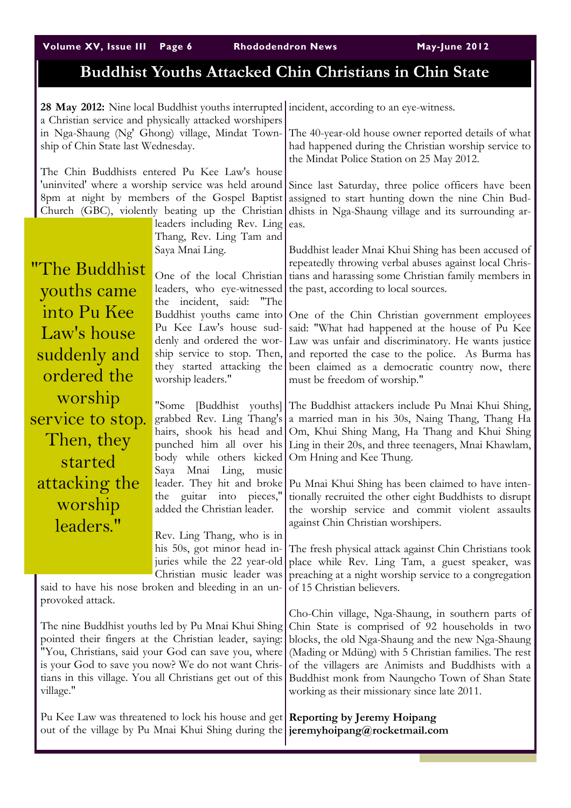Volume XV, Issue III Page 6 Rhododendron News May-June 2012

# Buddhist Youths Attacked Chin Christians in Chin State

| 28 May 2012: Nine local Buddhist youths interrupted incident, according to an eye-witness.<br>a Christian service and physically attacked worshipers                                                                                                                                                |                                                                                       |                                                                                                                                                                                                           |                                                                                                                                                                                                                                                                                                                       |
|-----------------------------------------------------------------------------------------------------------------------------------------------------------------------------------------------------------------------------------------------------------------------------------------------------|---------------------------------------------------------------------------------------|-----------------------------------------------------------------------------------------------------------------------------------------------------------------------------------------------------------|-----------------------------------------------------------------------------------------------------------------------------------------------------------------------------------------------------------------------------------------------------------------------------------------------------------------------|
|                                                                                                                                                                                                                                                                                                     | in Nga-Shaung (Ng' Ghong) village, Mindat Town-<br>ship of Chin State last Wednesday. |                                                                                                                                                                                                           | The 40-year-old house owner reported details of what<br>had happened during the Christian worship service to<br>the Mindat Police Station on 25 May 2012.                                                                                                                                                             |
|                                                                                                                                                                                                                                                                                                     |                                                                                       | The Chin Buddhists entered Pu Kee Law's house<br>'uninvited' where a worship service was held around<br>8pm at night by members of the Gospel Baptist<br>Church (GBC), violently beating up the Christian | Since last Saturday, three police officers have been<br>assigned to start hunting down the nine Chin Bud-<br>dhists in Nga-Shaung village and its surrounding ar-                                                                                                                                                     |
|                                                                                                                                                                                                                                                                                                     |                                                                                       | leaders including Rev. Ling<br>Thang, Rev. Ling Tam and                                                                                                                                                   | eas.                                                                                                                                                                                                                                                                                                                  |
|                                                                                                                                                                                                                                                                                                     | "The Buddhist<br>youths came                                                          | Saya Mnai Ling.<br>One of the local Christian<br>the incident, said: "The                                                                                                                                 | Buddhist leader Mnai Khui Shing has been accused of<br>repeatedly throwing verbal abuses against local Chris-<br>tians and harassing some Christian family members in<br>leaders, who eye-witnessed the past, according to local sources.                                                                             |
|                                                                                                                                                                                                                                                                                                     | into Pu Kee<br>Law's house<br>suddenly and                                            | Pu Kee Law's house sud-                                                                                                                                                                                   | Buddhist youths came into One of the Chin Christian government employees<br>said: "What had happened at the house of Pu Kee<br>denly and ordered the wor- Law was unfair and discriminatory. He wants justice<br>ship service to stop. Then, and reported the case to the police. As Burma has                        |
|                                                                                                                                                                                                                                                                                                     | ordered the                                                                           | worship leaders."                                                                                                                                                                                         | they started attacking the been claimed as a democratic country now, there<br>must be freedom of worship."                                                                                                                                                                                                            |
|                                                                                                                                                                                                                                                                                                     | worship<br>service to stop.<br>Then, they<br>started                                  | "Some<br>body while others kicked Om Hning and Kee Thung.                                                                                                                                                 | [Buddhist youths] The Buddhist attackers include Pu Mnai Khui Shing,<br>grabbed Rev. Ling Thang's a married man in his 30s, Naing Thang, Thang Ha<br>hairs, shook his head and Om, Khui Shing Mang, Ha Thang and Khui Shing<br>punched him all over his Ling in their 20s, and three teenagers, Mnai Khawlam,         |
|                                                                                                                                                                                                                                                                                                     | attacking the<br>worship<br>leaders."                                                 | Mnai<br>Ling,<br>Saya<br>music<br>the guitar into pieces,"<br>added the Christian leader.                                                                                                                 | leader. They hit and broke   Pu Mnai Khui Shing has been claimed to have inten-<br>tionally recruited the other eight Buddhists to disrupt<br>the worship service and commit violent assaults<br>against Chin Christian worshipers.                                                                                   |
|                                                                                                                                                                                                                                                                                                     |                                                                                       | Rev. Ling Thang, who is in<br>his 50s, got minor head in-<br>juries while the 22 year-old<br>Christian music leader was<br>said to have his nose broken and bleeding in an un-                            | The fresh physical attack against Chin Christians took<br>place while Rev. Ling Tam, a guest speaker, was<br>preaching at a night worship service to a congregation<br>of 15 Christian believers.                                                                                                                     |
|                                                                                                                                                                                                                                                                                                     | provoked attack.                                                                      |                                                                                                                                                                                                           | Cho-Chin village, Nga-Shaung, in southern parts of                                                                                                                                                                                                                                                                    |
| The nine Buddhist youths led by Pu Mnai Khui Shing<br>pointed their fingers at the Christian leader, saying:<br>"You, Christians, said your God can save you, where<br>is your God to save you now? We do not want Chris-<br>tians in this village. You all Christians get out of this<br>village." |                                                                                       |                                                                                                                                                                                                           | Chin State is comprised of 92 households in two<br>blocks, the old Nga-Shaung and the new Nga-Shaung<br>(Mading or Mdüng) with 5 Christian families. The rest<br>of the villagers are Animists and Buddhists with a<br>Buddhist monk from Naungcho Town of Shan State<br>working as their missionary since late 2011. |
| Pu Kee Law was threatened to lock his house and get   Reporting by Jeremy Hoipang<br>out of the village by Pu Mnai Khui Shing during the   jeremyhoipang@rocketmail.com                                                                                                                             |                                                                                       |                                                                                                                                                                                                           |                                                                                                                                                                                                                                                                                                                       |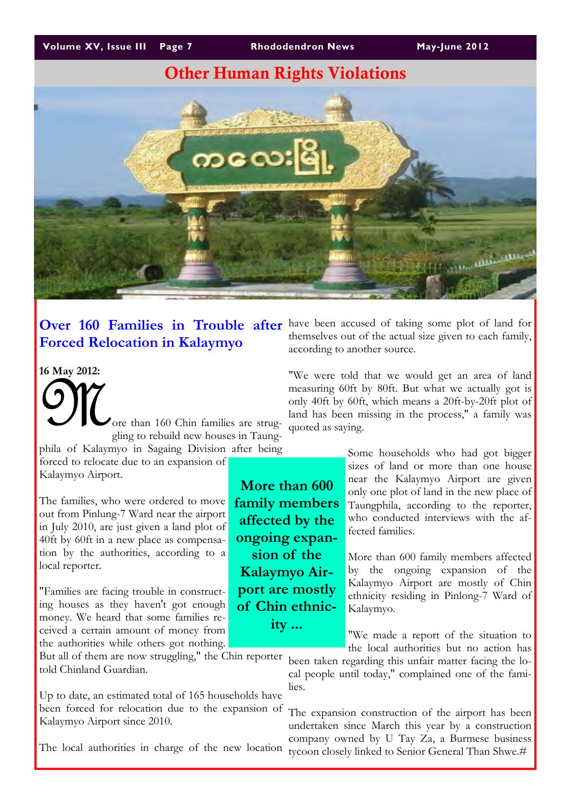# Other Human Rights Violations



# Forced Relocation in Kalaymyo

### 16 May 2012:

ore than 160 Chin families are struggling to rebuild new houses in Taungphila of Kalaymyo in Sagaing Division after being

forced to relocate due to an expansion of Kalaymyo Airport.

The families, who were ordered to move out from Pinlung-7 Ward near the airport in July 2010, are just given a land plot of 40ft by 60ft in a new place as compensation by the authorities, according to a local reporter.

"Families are facing trouble in constructing houses as they haven't got enough money. We heard that some families received a certain amount of money from the authorities while others got nothing.

But all of them are now struggling," the Chin reporter told Chinland Guardian.

Up to date, an estimated total of 165 households have been forced for relocation due to the expansion of Kalaymyo Airport since 2010.

The local authorities in charge of the new location

Over 160 Families in Trouble after have been accused of taking some plot of land for themselves out of the actual size given to each family, according to another source.

> "We were told that we would get an area of land measuring 60ft by 80ft. But what we actually got is only 40ft by 60ft, which means a 20ft-by-20ft plot of land has been missing in the process," a family was quoted as saying.

> > Some households who had got bigger sizes of land or more than one house near the Kalaymyo Airport are given only one plot of land in the new place of Taungphila, according to the reporter, who conducted interviews with the affected families.

> > More than 600 family members affected by the ongoing expansion of the Kalaymyo Airport are mostly of Chin ethnicity residing in Pinlong-7 Ward of Kalaymyo.

> > "We made a report of the situation to the local authorities but no action has

been taken regarding this unfair matter facing the local people until today," complained one of the families.

The expansion construction of the airport has been undertaken since March this year by a construction company owned by U Tay Za, a Burmese business tycoon closely linked to Senior General Than Shwe.#

More than 600 family members affected by the ongoing expansion of the Kalaymyo Airport are mostly of Chin ethnicity ...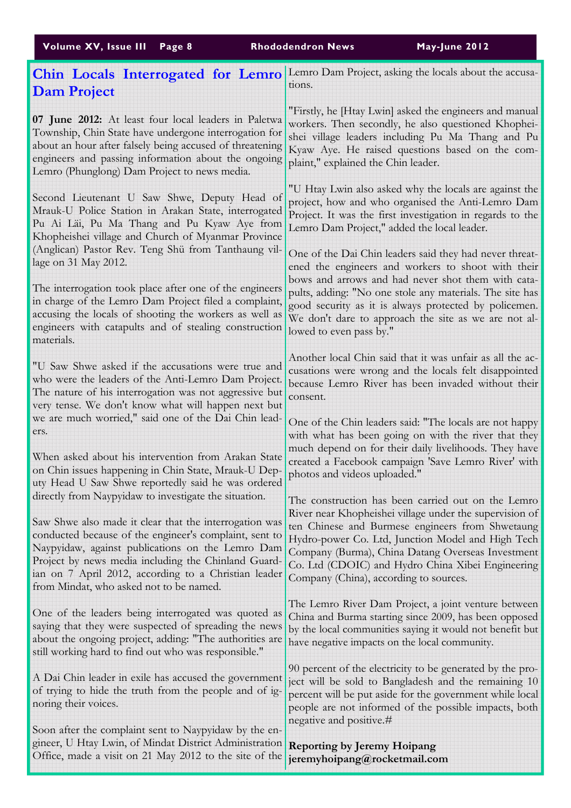| Volume XV, Issue III                                                                                                                                                                                                                                                                                                           | May-June 2012                                                                                                                                                                                                                                                     |
|--------------------------------------------------------------------------------------------------------------------------------------------------------------------------------------------------------------------------------------------------------------------------------------------------------------------------------|-------------------------------------------------------------------------------------------------------------------------------------------------------------------------------------------------------------------------------------------------------------------|
| Page 8                                                                                                                                                                                                                                                                                                                         | <b>Rhododendron News</b>                                                                                                                                                                                                                                          |
| Chin Locals Interrogated for Lemro                                                                                                                                                                                                                                                                                             | Lemro Dam Project, asking the locals about the accusa-                                                                                                                                                                                                            |
| <b>Dam Project</b>                                                                                                                                                                                                                                                                                                             | tions.                                                                                                                                                                                                                                                            |
| 07 June 2012: At least four local leaders in Paletwa                                                                                                                                                                                                                                                                           | "Firstly, he [Htay Lwin] asked the engineers and manual                                                                                                                                                                                                           |
| Township, Chin State have undergone interrogation for                                                                                                                                                                                                                                                                          | workers. Then secondly, he also questioned Khophei-                                                                                                                                                                                                               |
| about an hour after falsely being accused of threatening                                                                                                                                                                                                                                                                       | shei village leaders including Pu Ma Thang and Pu                                                                                                                                                                                                                 |
| engineers and passing information about the ongoing                                                                                                                                                                                                                                                                            | Kyaw Aye. He raised questions based on the com-                                                                                                                                                                                                                   |
| Lemro (Phunglong) Dam Project to news media.                                                                                                                                                                                                                                                                                   | plaint," explained the Chin leader.                                                                                                                                                                                                                               |
| Second Lieutenant U Saw Shwe, Deputy Head of                                                                                                                                                                                                                                                                                   | "U Htay Lwin also asked why the locals are against the                                                                                                                                                                                                            |
| Mrauk-U Police Station in Arakan State, interrogated                                                                                                                                                                                                                                                                           | project, how and who organised the Anti-Lemro Dam                                                                                                                                                                                                                 |
| Pu Ai Läi, Pu Ma Thang and Pu Kyaw Aye from                                                                                                                                                                                                                                                                                    | Project. It was the first investigation in regards to the                                                                                                                                                                                                         |
| Khopheishei village and Church of Myanmar Province                                                                                                                                                                                                                                                                             | Lemro Dam Project," added the local leader.                                                                                                                                                                                                                       |
| (Anglican) Pastor Rev. Teng Shü from Tanthaung vil-<br>lage on 31 May 2012.                                                                                                                                                                                                                                                    | One of the Dai Chin leaders said they had never threat-<br>ened the engineers and workers to shoot with their<br>bows and arrows and had never shot them with cata-                                                                                               |
| The interrogation took place after one of the engineers<br>in charge of the Lemro Dam Project filed a complaint,<br>accusing the locals of shooting the workers as well as<br>engineers with catapults and of stealing construction<br>materials.                                                                              | pults, adding: "No one stole any materials. The site has<br>good security as it is always protected by policemen.<br>We don't dare to approach the site as we are not al-<br>lowed to even pass by."                                                              |
| "U Saw Shwe asked if the accusations were true and                                                                                                                                                                                                                                                                             | Another local Chin said that it was unfair as all the ac-                                                                                                                                                                                                         |
| who were the leaders of the Anti-Lemro Dam Project.                                                                                                                                                                                                                                                                            | cusations were wrong and the locals felt disappointed                                                                                                                                                                                                             |
| The nature of his interrogation was not aggressive but                                                                                                                                                                                                                                                                         | because Lemro River has been invaded without their                                                                                                                                                                                                                |
| very tense. We don't know what will happen next but                                                                                                                                                                                                                                                                            | consent.                                                                                                                                                                                                                                                          |
| we are much worried," said one of the Dai Chin lead-<br>ers.<br>When asked about his intervention from Arakan State<br>on Chin issues happening in Chin State, Mrauk-U Dep-                                                                                                                                                    | One of the Chin leaders said: "The locals are not happy<br>with what has been going on with the river that they<br>much depend on for their daily livelihoods. They have<br>created a Facebook campaign 'Save Lemro River' with<br>photos and videos uploaded."   |
| uty Head U Saw Shwe reportedly said he was ordered                                                                                                                                                                                                                                                                             | The construction has been carried out on the Lemro                                                                                                                                                                                                                |
| directly from Naypyidaw to investigate the situation.                                                                                                                                                                                                                                                                          | River near Khopheishei village under the supervision of                                                                                                                                                                                                           |
| Saw Shwe also made it clear that the interrogation was<br>conducted because of the engineer's complaint, sent to<br>Naypyidaw, against publications on the Lemro Dam<br>Project by news media including the Chinland Guard-<br>ian on 7 April 2012, according to a Christian leader<br>from Mindat, who asked not to be named. | ten Chinese and Burmese engineers from Shwetaung<br>Hydro-power Co. Ltd, Junction Model and High Tech<br>Company (Burma), China Datang Overseas Investment<br>Co. Ltd (CDOIC) and Hydro China Xibei Engineering<br>Company (China), according to sources.         |
| One of the leaders being interrogated was quoted as                                                                                                                                                                                                                                                                            | The Lemro River Dam Project, a joint venture between                                                                                                                                                                                                              |
| saying that they were suspected of spreading the news                                                                                                                                                                                                                                                                          | China and Burma starting since 2009, has been opposed                                                                                                                                                                                                             |
| about the ongoing project, adding: "The authorities are                                                                                                                                                                                                                                                                        | by the local communities saying it would not benefit but                                                                                                                                                                                                          |
| still working hard to find out who was responsible."                                                                                                                                                                                                                                                                           | have negative impacts on the local community.                                                                                                                                                                                                                     |
| A Dai Chin leader in exile has accused the government<br>of trying to hide the truth from the people and of ig-<br>noring their voices.                                                                                                                                                                                        | 90 percent of the electricity to be generated by the pro-<br>ject will be sold to Bangladesh and the remaining 10<br>percent will be put aside for the government while local<br>people are not informed of the possible impacts, both<br>negative and positive.# |
| Soon after the complaint sent to Naypyidaw by the en-<br>gineer, U Htay Lwin, of Mindat District Administration<br>Office, made a visit on 21 May 2012 to the site of the                                                                                                                                                      | <b>Reporting by Jeremy Hoipang</b><br>jeremyhoipang@rocketmail.com                                                                                                                                                                                                |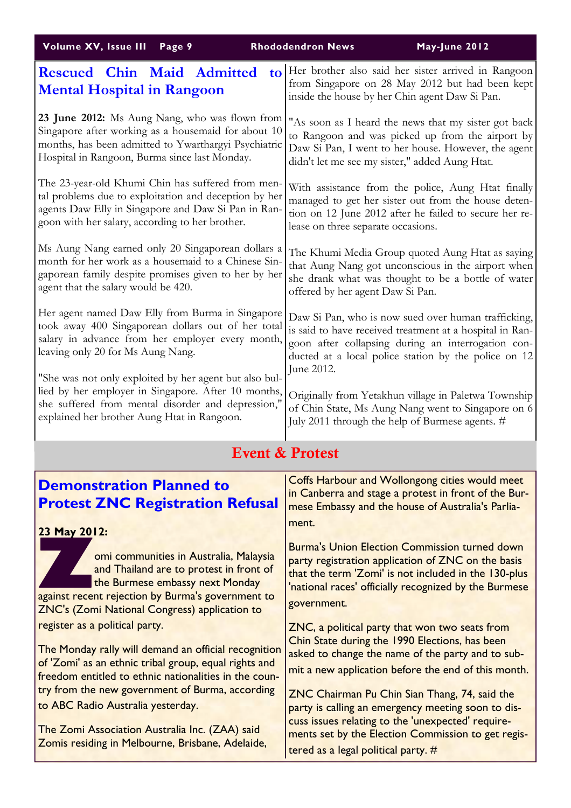| Volume XV, Issue III                                                                                                                                                                                                                                                                             | May-June 2012                                                                                                                                                                                                                                                                                                                                                            |
|--------------------------------------------------------------------------------------------------------------------------------------------------------------------------------------------------------------------------------------------------------------------------------------------------|--------------------------------------------------------------------------------------------------------------------------------------------------------------------------------------------------------------------------------------------------------------------------------------------------------------------------------------------------------------------------|
| Page 9                                                                                                                                                                                                                                                                                           | <b>Rhododendron News</b>                                                                                                                                                                                                                                                                                                                                                 |
| <b>Rescued Chin Maid Admitted</b>                                                                                                                                                                                                                                                                | Her brother also said her sister arrived in Rangoon                                                                                                                                                                                                                                                                                                                      |
| $\mathbf{to}$                                                                                                                                                                                                                                                                                    | from Singapore on 28 May 2012 but had been kept                                                                                                                                                                                                                                                                                                                          |
| <b>Mental Hospital in Rangoon</b>                                                                                                                                                                                                                                                                | inside the house by her Chin agent Daw Si Pan.                                                                                                                                                                                                                                                                                                                           |
| 23 June 2012: Ms Aung Nang, who was flown from                                                                                                                                                                                                                                                   | "As soon as I heard the news that my sister got back                                                                                                                                                                                                                                                                                                                     |
| Singapore after working as a housemaid for about 10                                                                                                                                                                                                                                              | to Rangoon and was picked up from the airport by                                                                                                                                                                                                                                                                                                                         |
| months, has been admitted to Ywarthargyi Psychiatric                                                                                                                                                                                                                                             | Daw Si Pan, I went to her house. However, the agent                                                                                                                                                                                                                                                                                                                      |
| Hospital in Rangoon, Burma since last Monday.                                                                                                                                                                                                                                                    | didn't let me see my sister," added Aung Htat.                                                                                                                                                                                                                                                                                                                           |
| The 23-year-old Khumi Chin has suffered from men-                                                                                                                                                                                                                                                | With assistance from the police, Aung Htat finally                                                                                                                                                                                                                                                                                                                       |
| tal problems due to exploitation and deception by her                                                                                                                                                                                                                                            | managed to get her sister out from the house deten-                                                                                                                                                                                                                                                                                                                      |
| agents Daw Elly in Singapore and Daw Si Pan in Ran-                                                                                                                                                                                                                                              | tion on 12 June 2012 after he failed to secure her re-                                                                                                                                                                                                                                                                                                                   |
| goon with her salary, according to her brother.                                                                                                                                                                                                                                                  | lease on three separate occasions.                                                                                                                                                                                                                                                                                                                                       |
| Ms Aung Nang earned only 20 Singaporean dollars a                                                                                                                                                                                                                                                | The Khumi Media Group quoted Aung Htat as saying                                                                                                                                                                                                                                                                                                                         |
| month for her work as a housemaid to a Chinese Sin-                                                                                                                                                                                                                                              | that Aung Nang got unconscious in the airport when                                                                                                                                                                                                                                                                                                                       |
| gaporean family despite promises given to her by her                                                                                                                                                                                                                                             | she drank what was thought to be a bottle of water                                                                                                                                                                                                                                                                                                                       |
| agent that the salary would be 420.                                                                                                                                                                                                                                                              | offered by her agent Daw Si Pan.                                                                                                                                                                                                                                                                                                                                         |
| Her agent named Daw Elly from Burma in Singapore<br>took away 400 Singaporean dollars out of her total<br>salary in advance from her employer every month,<br>leaving only 20 for Ms Aung Nang.                                                                                                  | Daw Si Pan, who is now sued over human trafficking,<br>is said to have received treatment at a hospital in Ran-<br>goon after collapsing during an interrogation con-<br>ducted at a local police station by the police on 12<br>June 2012.                                                                                                                              |
| "She was not only exploited by her agent but also bul-<br>lied by her employer in Singapore. After 10 months,<br>she suffered from mental disorder and depression,<br>explained her brother Aung Htat in Rangoon.                                                                                | Originally from Yetakhun village in Paletwa Township<br>of Chin State, Ms Aung Nang went to Singapore on 6<br>July 2011 through the help of Burmese agents. #                                                                                                                                                                                                            |
|                                                                                                                                                                                                                                                                                                  | <b>Event &amp; Protest</b>                                                                                                                                                                                                                                                                                                                                               |
| <b>Demonstration Planned to</b><br><b>Protest ZNC Registration Refusal</b><br>23 May 2012:                                                                                                                                                                                                       | <b>Coffs Harbour and Wollongong cities would meet</b><br>in Canberra and stage a protest in front of the Bur-<br>mese Embassy and the house of Australia's Parlia-<br>ment.                                                                                                                                                                                              |
| omi communities in Australia, Malaysia                                                                                                                                                                                                                                                           | <b>Burma's Union Election Commission turned down</b>                                                                                                                                                                                                                                                                                                                     |
| and Thailand are to protest in front of                                                                                                                                                                                                                                                          | party registration application of ZNC on the basis                                                                                                                                                                                                                                                                                                                       |
| the Burmese embassy next Monday                                                                                                                                                                                                                                                                  | that the term 'Zomi' is not included in the 130-plus                                                                                                                                                                                                                                                                                                                     |
| against recent rejection by Burma's government to                                                                                                                                                                                                                                                | 'national races' officially recognized by the Burmese                                                                                                                                                                                                                                                                                                                    |
| <b>ZNC's (Zomi National Congress) application to</b>                                                                                                                                                                                                                                             | government.                                                                                                                                                                                                                                                                                                                                                              |
| register as a political party.<br>The Monday rally will demand an official recognition<br>of 'Zomi' as an ethnic tribal group, equal rights and<br>freedom entitled to ethnic nationalities in the coun-<br>try from the new government of Burma, according<br>to ABC Radio Australia yesterday. | ZNC, a political party that won two seats from<br>Chin State during the 1990 Elections, has been<br>asked to change the name of the party and to sub-<br>mit a new application before the end of this month.<br>ZNC Chairman Pu Chin Sian Thang, 74, said the<br>party is calling an emergency meeting soon to dis-<br>cuss issues relating to the 'unexpected' require- |
| The Zomi Association Australia Inc. (ZAA) said                                                                                                                                                                                                                                                   | ments set by the Election Commission to get regis-                                                                                                                                                                                                                                                                                                                       |
| Zomis residing in Melbourne, Brisbane, Adelaide,                                                                                                                                                                                                                                                 | tered as a legal political party. #                                                                                                                                                                                                                                                                                                                                      |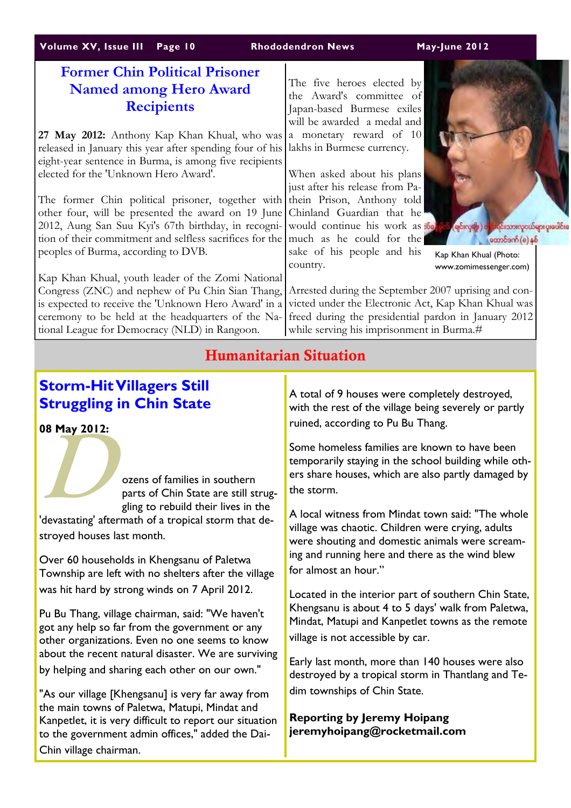# Volume XV, Issue III Page 10 Rhododendron News May-June 2012

# Former Chin Political Prisoner Named among Hero Award **Recipients**

27 May 2012: Anthony Kap Khan Khual, who was released in January this year after spending four of his eight-year sentence in Burma, is among five recipients elected for the 'Unknown Hero Award'.

The former Chin political prisoner, together with other four, will be presented the award on 19 June 2012, Aung San Suu Kyi's 67th birthday, in recognition of their commitment and selfless sacrifices for the peoples of Burma, according to DVB.

Kap Khan Khual, youth leader of the Zomi National Congress (ZNC) and nephew of Pu Chin Sian Thang, is expected to receive the 'Unknown Hero Award' in a ceremony to be held at the headquarters of the National League for Democracy (NLD) in Rangoon.

The five heroes elected by the Award's committee of Japan-based Burmese exiles will be awarded a medal and a monetary reward of 10 lakhs in Burmese currency.

When asked about his plans just after his release from Pathein Prison, Anthony told Chinland Guardian that he would continue his work as **B** much as he could for the sake of his people and his country.



Kap Khan Khual (Photo: www.zomimessenger.com)

င်းသားလှငယ်များ ပူးပေါင်းခ

ုတောင်ဒဏ် (စ) နှစ်

Arrested during the September 2007 uprising and convicted under the Electronic Act, Kap Khan Khual was freed during the presidential pardon in January 2012 while serving his imprisonment in Burma.#

# Humanitarian Situation

# Storm-Hit Villagers Still Struggling in Chin State

08 May 2012:

 $\sum_{\substack{\text{ozr.} \text{par}}}$ ozens of families in southern parts of Chin State are still struggling to rebuild their lives in the 'devastating' aftermath of a tropical storm that destroyed houses last month.

Over 60 households in Khengsanu of Paletwa Township are left with no shelters after the village was hit hard by strong winds on 7 April 2012.

Pu Bu Thang, village chairman, said: "We haven't got any help so far from the government or any other organizations. Even no one seems to know about the recent natural disaster. We are surviving by helping and sharing each other on our own."

"As our village [Khengsanu] is very far away from the main towns of Paletwa, Matupi, Mindat and Kanpetlet, it is very difficult to report our situation to the government admin offices," added the Dai-Chin village chairman.

A total of 9 houses were completely destroyed, with the rest of the village being severely or partly ruined, according to Pu Bu Thang.

Some homeless families are known to have been temporarily staying in the school building while others share houses, which are also partly damaged by the storm.

A local witness from Mindat town said: "The whole village was chaotic. Children were crying, adults were shouting and domestic animals were screaming and running here and there as the wind blew for almost an hour."

Located in the interior part of southern Chin State, Khengsanu is about 4 to 5 days' walk from Paletwa, Mindat, Matupi and Kanpetlet towns as the remote village is not accessible by car.

Early last month, more than 140 houses were also destroyed by a tropical storm in Thantlang and Tedim townships of Chin State.

Reporting by Jeremy Hoipang jeremyhoipang@rocketmail.com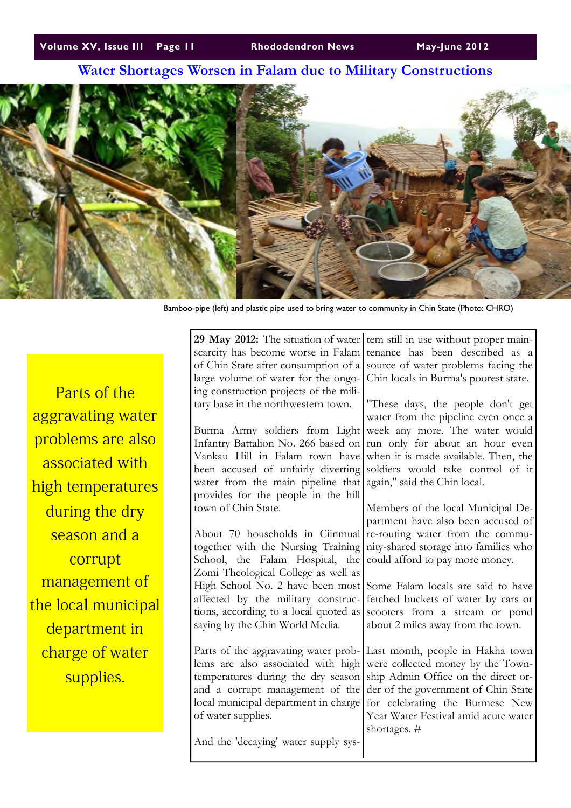# Water Shortages Worsen in Falam due to Military Constructions



Bamboo-pipe (left) and plastic pipe used to bring water to community in Chin State (Photo: CHRO)

Parts of the aggravating water problems are also associated with high temperatures during the dry season and a corrupt management of the local municipal department in charge of water supplies.

| 29 May 2012: The situation of water                        | tem still in use without proper main-                                   |
|------------------------------------------------------------|-------------------------------------------------------------------------|
| scarcity has become worse in Falam                         | tenance has been described as a                                         |
| of Chin State after consumption of a                       | source of water problems facing the                                     |
| large volume of water for the ongo-                        | Chin locals in Burma's poorest state.                                   |
| ing construction projects of the mili-                     |                                                                         |
| tary base in the northwestern town.                        | "These days, the people don't get                                       |
|                                                            | water from the pipeline even once a                                     |
| Burma Army soldiers from Light                             | week any more. The water would                                          |
| Infantry Battalion No. 266 based on                        | run only for about an hour even                                         |
| Vankau Hill in Falam town have                             | when it is made available. Then, the                                    |
| been accused of unfairly diverting                         | soldiers would take control of it                                       |
| water from the main pipeline that                          | again," said the Chin local.                                            |
| provides for the people in the hill                        |                                                                         |
| town of Chin State.                                        | Members of the local Municipal De-                                      |
|                                                            | partment have also been accused of                                      |
| About 70 households in Ciinmual                            | re-routing water from the commu-                                        |
| together with the Nursing Training                         | nity-shared storage into families who                                   |
| School, the Falam Hospital, the                            | could afford to pay more money.                                         |
| Zomi Theological College as well as                        |                                                                         |
| High School No. 2 have been most                           | Some Falam locals are said to have                                      |
| affected by the military construc-                         | fetched buckets of water by cars or                                     |
| tions, according to a local quoted as                      | scooters from a stream or pond                                          |
| saying by the Chin World Media.                            | about 2 miles away from the town.                                       |
|                                                            |                                                                         |
| Parts of the aggravating water prob-                       | Last month, people in Hakha town                                        |
| lems are also associated with high                         | were collected money by the Town-                                       |
| temperatures during the dry season                         | ship Admin Office on the direct or-                                     |
| and a corrupt management of the                            | der of the government of Chin State                                     |
| local municipal department in charge<br>of water supplies. | for celebrating the Burmese New<br>Year Water Festival amid acute water |
|                                                            | shortages. #                                                            |
| And the 'decaying' water supply sys-                       |                                                                         |
|                                                            |                                                                         |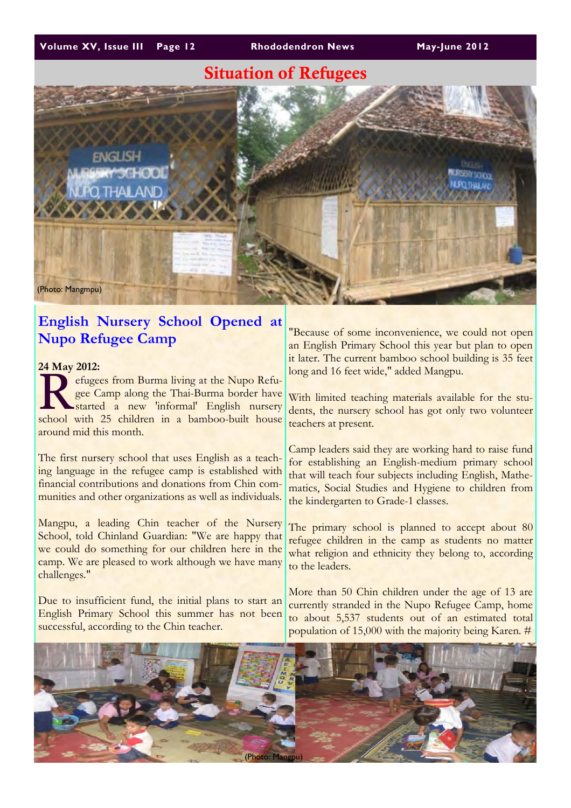# Situation of Refugees



# English Nursery School Opened at Nupo Refugee Camp

24 May 2012:

24 May 2012:<br>
efugees from Burma living at the Nupo Refugee Camp along the Thai-Burma border have<br>
started a new 'informal' English nursery gee Camp along the Thai-Burma border have started a new 'informal' English nursery school with 25 children in a bamboo-built house around mid this month.

The first nursery school that uses English as a teaching language in the refugee camp is established with financial contributions and donations from Chin communities and other organizations as well as individuals.

Mangpu, a leading Chin teacher of the Nursery School, told Chinland Guardian: "We are happy that we could do something for our children here in the camp. We are pleased to work although we have many challenges."

Due to insufficient fund, the initial plans to start an English Primary School this summer has not been successful, according to the Chin teacher.

"Because of some inconvenience, we could not open an English Primary School this year but plan to open it later. The current bamboo school building is 35 feet long and 16 feet wide," added Mangpu.

With limited teaching materials available for the students, the nursery school has got only two volunteer teachers at present.

Camp leaders said they are working hard to raise fund for establishing an English-medium primary school that will teach four subjects including English, Mathematics, Social Studies and Hygiene to children from the kindergarten to Grade-1 classes.

The primary school is planned to accept about 80 refugee children in the camp as students no matter what religion and ethnicity they belong to, according to the leaders.

More than 50 Chin children under the age of 13 are currently stranded in the Nupo Refugee Camp, home to about 5,537 students out of an estimated total population of 15,000 with the majority being Karen. #

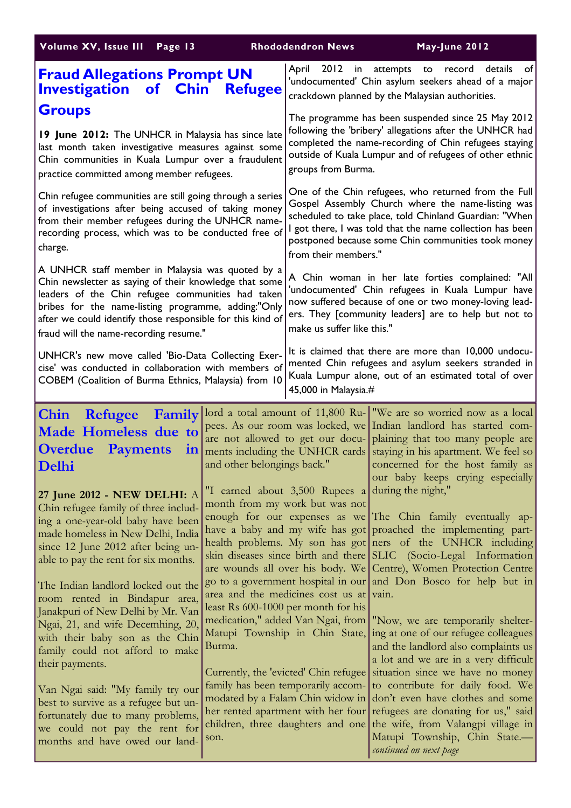| Volume XV, Issue III Page 13                                                                                                                                                                                                                                                                                                                                                                                                                                                                                                                                                                                                                               |                             | <b>Rhododendron News</b>                                                                                                                                                                                                                                                                                                                                                                                | May-June 2012                                                                                                                                                                                                                                                                                                                                                                                                                                                                                                                                                                                                                                                                                                                                                                                                                                                    |
|------------------------------------------------------------------------------------------------------------------------------------------------------------------------------------------------------------------------------------------------------------------------------------------------------------------------------------------------------------------------------------------------------------------------------------------------------------------------------------------------------------------------------------------------------------------------------------------------------------------------------------------------------------|-----------------------------|---------------------------------------------------------------------------------------------------------------------------------------------------------------------------------------------------------------------------------------------------------------------------------------------------------------------------------------------------------------------------------------------------------|------------------------------------------------------------------------------------------------------------------------------------------------------------------------------------------------------------------------------------------------------------------------------------------------------------------------------------------------------------------------------------------------------------------------------------------------------------------------------------------------------------------------------------------------------------------------------------------------------------------------------------------------------------------------------------------------------------------------------------------------------------------------------------------------------------------------------------------------------------------|
| <b>Fraud Allegations Prompt UN</b><br><b>Investigation of Chin Refugee</b>                                                                                                                                                                                                                                                                                                                                                                                                                                                                                                                                                                                 |                             | 2012<br>April                                                                                                                                                                                                                                                                                                                                                                                           | in attempts to record<br>details<br>of<br>'undocumented' Chin asylum seekers ahead of a major<br>crackdown planned by the Malaysian authorities.                                                                                                                                                                                                                                                                                                                                                                                                                                                                                                                                                                                                                                                                                                                 |
| <b>Groups</b><br>19 June 2012: The UNHCR in Malaysia has since late<br>last month taken investigative measures against some<br>Chin communities in Kuala Lumpur over a fraudulent<br>practice committed among member refugees.                                                                                                                                                                                                                                                                                                                                                                                                                             |                             | groups from Burma.                                                                                                                                                                                                                                                                                                                                                                                      | The programme has been suspended since 25 May 2012<br>following the 'bribery' allegations after the UNHCR had<br>completed the name-recording of Chin refugees staying<br>outside of Kuala Lumpur and of refugees of other ethnic                                                                                                                                                                                                                                                                                                                                                                                                                                                                                                                                                                                                                                |
| Chin refugee communities are still going through a series<br>of investigations after being accused of taking money<br>from their member refugees during the UNHCR name-<br>recording process, which was to be conducted free of<br>charge.                                                                                                                                                                                                                                                                                                                                                                                                                 |                             | from their members."                                                                                                                                                                                                                                                                                                                                                                                    | One of the Chin refugees, who returned from the Full<br>Gospel Assembly Church where the name-listing was<br>scheduled to take place, told Chinland Guardian: "When<br>I got there, I was told that the name collection has been<br>postponed because some Chin communities took money                                                                                                                                                                                                                                                                                                                                                                                                                                                                                                                                                                           |
| A UNHCR staff member in Malaysia was quoted by a<br>Chin newsletter as saying of their knowledge that some<br>leaders of the Chin refugee communities had taken<br>bribes for the name-listing programme, adding:"Only<br>after we could identify those responsible for this kind of<br>fraud will the name-recording resume."                                                                                                                                                                                                                                                                                                                             |                             | make us suffer like this."                                                                                                                                                                                                                                                                                                                                                                              | A Chin woman in her late forties complained: "All<br>'undocumented' Chin refugees in Kuala Lumpur have<br>now suffered because of one or two money-loving lead-<br>ers. They [community leaders] are to help but not to                                                                                                                                                                                                                                                                                                                                                                                                                                                                                                                                                                                                                                          |
| UNHCR's new move called 'Bio-Data Collecting Exer-<br>cise' was conducted in collaboration with members of<br>COBEM (Coalition of Burma Ethnics, Malaysia) from 10                                                                                                                                                                                                                                                                                                                                                                                                                                                                                         |                             | 45,000 in Malaysia.#                                                                                                                                                                                                                                                                                                                                                                                    | It is claimed that there are more than 10,000 undocu-<br>mented Chin refugees and asylum seekers stranded in<br>Kuala Lumpur alone, out of an estimated total of over                                                                                                                                                                                                                                                                                                                                                                                                                                                                                                                                                                                                                                                                                            |
| Chin Refugee Family<br>Made Homeless due to<br><b>Overdue</b><br><b>Payments</b><br>1n<br>Delhi                                                                                                                                                                                                                                                                                                                                                                                                                                                                                                                                                            | and other belongings back." |                                                                                                                                                                                                                                                                                                                                                                                                         | lord a total amount of 11,800 Ru-   "We are so worried now as a local<br>pees. As our room was locked, we Indian landlord has started com-<br>are not allowed to get our docu- plaining that too many people are<br>ments including the UNHCR cards staying in his apartment. We feel so<br>concerned for the host family as<br>our baby keeps crying especially                                                                                                                                                                                                                                                                                                                                                                                                                                                                                                 |
| 27 June 2012 - NEW DELHI: A<br>Chin refugee family of three includ-<br>ing a one-year-old baby have been<br>made homeless in New Delhi, India<br>since 12 June 2012 after being un-<br>able to pay the rent for six months.<br>The Indian landlord locked out the<br>room rented in Bindapur area,<br>Janakpuri of New Delhi by Mr. Van<br>Ngai, 21, and wife Decembing, 20,<br>with their baby son as the Chin<br>family could not afford to make<br>their payments.<br>Van Ngai said: "My family try our<br>best to survive as a refugee but un-<br>fortunately due to many problems,<br>we could not pay the rent for<br>months and have owed our land- | Burma.<br>son.              | "I earned about $3,500$ Rupees a during the night,"<br>month from my work but was not<br>area and the medicines cost us at vain.<br>least Rs 600-1000 per month for his<br>Matupi Township in Chin State,<br>Currently, the 'evicted' Chin refugee<br>family has been temporarily accom-<br>modated by a Falam Chin widow in<br>her rented apartment with her four<br>children, three daughters and one | enough for our expenses as we The Chin family eventually ap-<br>have a baby and my wife has got proached the implementing part-<br>health problems. My son has got ners of the UNHCR including<br>skin diseases since birth and there SLIC (Socio-Legal Information<br>are wounds all over his body. We Centre), Women Protection Centre<br>go to a government hospital in our and Don Bosco for help but in<br>medication," added Van Ngai, from   "Now, we are temporarily shelter-<br>ing at one of our refugee colleagues<br>and the landlord also complaints us<br>a lot and we are in a very difficult<br>situation since we have no money<br>to contribute for daily food. We<br>don't even have clothes and some<br>refugees are donating for us," said<br>the wife, from Valangpi village in<br>Matupi Township, Chin State.-<br>continued on next page |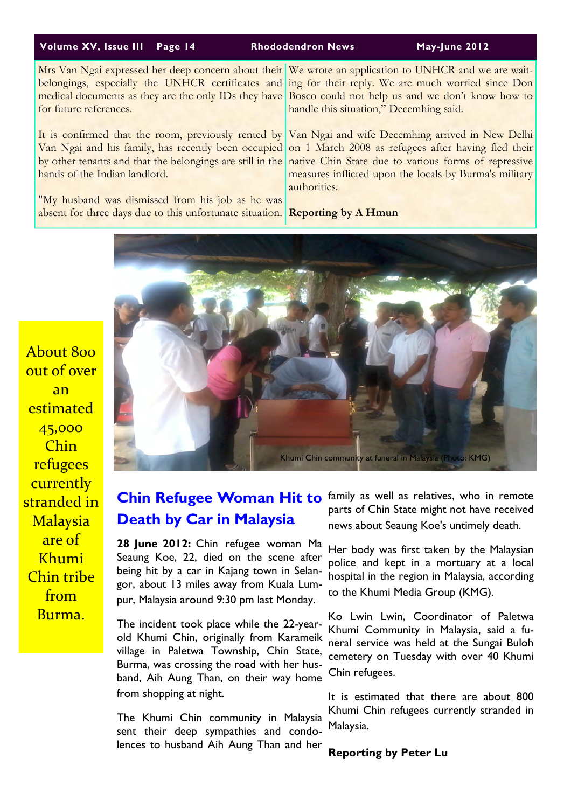#### Volume XV, Issue III Page 14 Rhododendron News May-June 2012

belongings, especially the UNHCR certificates and medical documents as they are the only IDs they have for future references.

It is confirmed that the room, previously rented by Van Ngai and his family, has recently been occupied by other tenants and that the belongings are still in the hands of the Indian landlord.

"My husband was dismissed from his job as he was absent for three days due to this unfortunate situation.

Mrs Van Ngai expressed her deep concern about their We wrote an application to UNHCR and we are waiting for their reply. We are much worried since Don Bosco could not help us and we don't know how to handle this situation," Decemhing said.

> Van Ngai and wife Decemhing arrived in New Delhi on 1 March 2008 as refugees after having fled their native Chin State due to various forms of repressive measures inflicted upon the locals by Burma's military authorities.

Reporting by A Hmun



# Death by Car in Malaysia

28 June 2012: Chin refugee woman Ma Seaung Koe, 22, died on the scene after being hit by a car in Kajang town in Selangor, about 13 miles away from Kuala Lumpur, Malaysia around 9:30 pm last Monday.

The incident took place while the 22-yearold Khumi Chin, originally from Karameik village in Paletwa Township, Chin State, Burma, was crossing the road with her husband, Aih Aung Than, on their way home from shopping at night.

The Khumi Chin community in Malaysia sent their deep sympathies and condolences to husband Aih Aung Than and her

Chin Refugee Woman Hit to family as well as relatives, who in remote parts of Chin State might not have received news about Seaung Koe's untimely death.

> Her body was first taken by the Malaysian police and kept in a mortuary at a local hospital in the region in Malaysia, according to the Khumi Media Group (KMG).

> Ko Lwin Lwin, Coordinator of Paletwa Khumi Community in Malaysia, said a funeral service was held at the Sungai Buloh cemetery on Tuesday with over 40 Khumi Chin refugees.

> It is estimated that there are about 800 Khumi Chin refugees currently stranded in Malaysia.

Reporting by Peter Lu

About 800 out of over an estimated 45,000 Chin refugees currently stranded in **Malaysia** are of Khumi Chin tribe from Burma.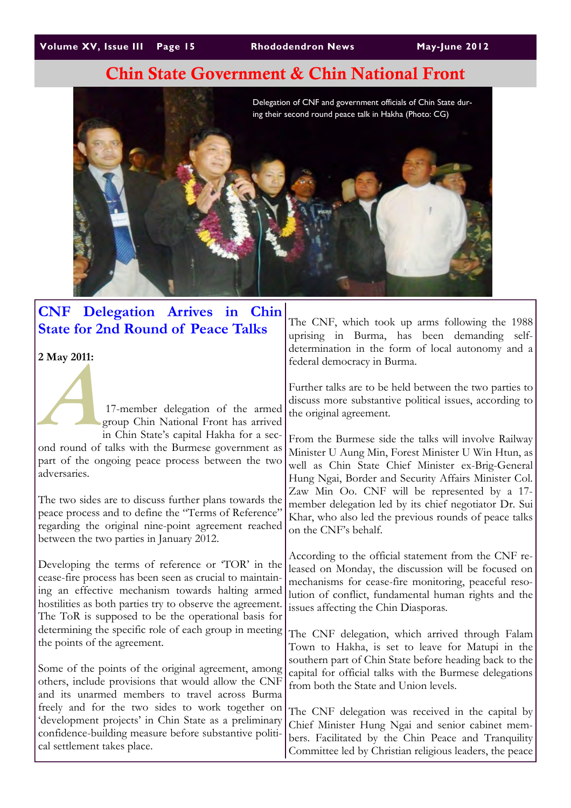# Chin State Government & Chin National Front



# CNF Delegation Arrives in Chin State for 2nd Round of Peace Talks

2 May 2011:

 $\frac{17-r}{\text{error}}$  17-member delegation of the armed group Chin National Front has arrived in Chin State's capital Hakha for a second round of talks with the Burmese government as part of the ongoing peace process between the two adversaries.

The two sides are to discuss further plans towards the peace process and to define the "Terms of Reference" regarding the original nine-point agreement reached between the two parties in January 2012.

Developing the terms of reference or 'TOR' in the cease-fire process has been seen as crucial to maintaining an effective mechanism towards halting armed hostilities as both parties try to observe the agreement. The ToR is supposed to be the operational basis for determining the specific role of each group in meeting the points of the agreement.

Some of the points of the original agreement, among others, include provisions that would allow the CNF and its unarmed members to travel across Burma freely and for the two sides to work together on 'development projects' in Chin State as a preliminary confidence-building measure before substantive political settlement takes place.

The CNF, which took up arms following the 1988 uprising in Burma, has been demanding selfdetermination in the form of local autonomy and a federal democracy in Burma.

Further talks are to be held between the two parties to discuss more substantive political issues, according to the original agreement.

From the Burmese side the talks will involve Railway Minister U Aung Min, Forest Minister U Win Htun, as well as Chin State Chief Minister ex-Brig-General Hung Ngai, Border and Security Affairs Minister Col. Zaw Min Oo. CNF will be represented by a 17 member delegation led by its chief negotiator Dr. Sui Khar, who also led the previous rounds of peace talks on the CNF's behalf.

According to the official statement from the CNF released on Monday, the discussion will be focused on mechanisms for cease-fire monitoring, peaceful resolution of conflict, fundamental human rights and the issues affecting the Chin Diasporas.

The CNF delegation, which arrived through Falam Town to Hakha, is set to leave for Matupi in the southern part of Chin State before heading back to the capital for official talks with the Burmese delegations from both the State and Union levels.

The CNF delegation was received in the capital by Chief Minister Hung Ngai and senior cabinet members. Facilitated by the Chin Peace and Tranquility Committee led by Christian religious leaders, the peace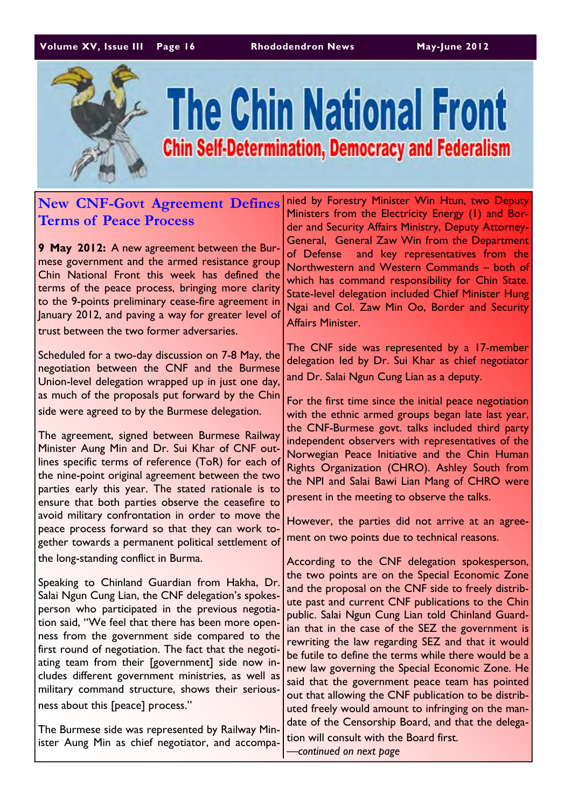### Volume XV, Issue III Page 16 Rhododendron News May-June 2012



# **The Chin National Front Chin Self-Determination, Democracy and Federalism**

# New CNF-Govt Agreement Defines Terms of Peace Process

9 May 2012: A new agreement between the Burmese government and the armed resistance group Chin National Front this week has defined the terms of the peace process, bringing more clarity to the 9-points preliminary cease-fire agreement in January 2012, and paving a way for greater level of trust between the two former adversaries.

Scheduled for a two-day discussion on 7-8 May, the negotiation between the CNF and the Burmese Union-level delegation wrapped up in just one day, as much of the proposals put forward by the Chin side were agreed to by the Burmese delegation.

The agreement, signed between Burmese Railway Minister Aung Min and Dr. Sui Khar of CNF outlines specific terms of reference (ToR) for each of the nine-point original agreement between the two parties early this year. The stated rationale is to ensure that both parties observe the ceasefire to avoid military confrontation in order to move the peace process forward so that they can work together towards a permanent political settlement of the long-standing conflict in Burma.

Speaking to Chinland Guardian from Hakha, Dr. Salai Ngun Cung Lian, the CNF delegation's spokesperson who participated in the previous negotiation said, "We feel that there has been more openness from the government side compared to the first round of negotiation. The fact that the negotiating team from their [government] side now includes different government ministries, as well as military command structure, shows their seriousness about this [peace] process."

The Burmese side was represented by Railway Minister Aung Min as chief negotiator, and accompanied by Forestry Minister Win Htun, two Deputy Ministers from the Electricity Energy (1) and Border and Security Affairs Ministry, Deputy Attorney-General, General Zaw Win from the Department of Defense and key representatives from the Northwestern and Western Commands – both of which has command responsibility for Chin State. State-level delegation included Chief Minister Hung Ngai and Col. Zaw Min Oo, Border and Security Affairs Minister.

The CNF side was represented by a 17-member delegation led by Dr. Sui Khar as chief negotiator and Dr. Salai Ngun Cung Lian as a deputy.

For the first time since the initial peace negotiation with the ethnic armed groups began late last year, the CNF-Burmese govt. talks included third party independent observers with representatives of the Norwegian Peace Initiative and the Chin Human Rights Organization (CHRO). Ashley South from the NPI and Salai Bawi Lian Mang of CHRO were present in the meeting to observe the talks.

However, the parties did not arrive at an agreement on two points due to technical reasons.

According to the CNF delegation spokesperson, the two points are on the Special Economic Zone and the proposal on the CNF side to freely distribute past and current CNF publications to the Chin public. Salai Ngun Cung Lian told Chinland Guardian that in the case of the SEZ the government is rewriting the law regarding SEZ and that it would be futile to define the terms while there would be a new law governing the Special Economic Zone. He said that the government peace team has pointed out that allowing the CNF publication to be distributed freely would amount to infringing on the mandate of the Censorship Board, and that the delega-

tion will consult with the Board first. —continued on next page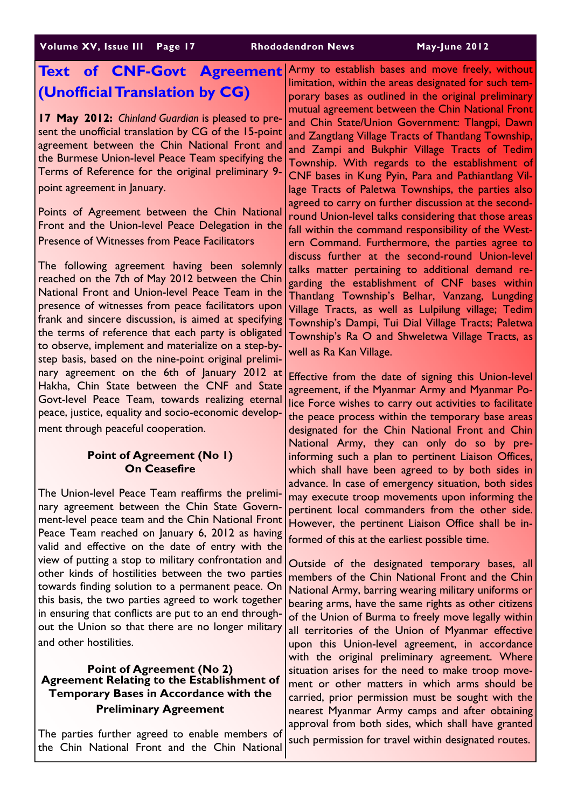# Text of CNF-Govt Agreement (Unofficial Translation by CG)

17 May 2012: Chinland Guardian is pleased to present the unofficial translation by CG of the 15-point agreement between the Chin National Front and the Burmese Union-level Peace Team specifying the Terms of Reference for the original preliminary 9 point agreement in January.

Points of Agreement between the Chin National Front and the Union-level Peace Delegation in the Presence of Witnesses from Peace Facilitators

The following agreement having been solemnly reached on the 7th of May 2012 between the Chin National Front and Union-level Peace Team in the presence of witnesses from peace facilitators upon frank and sincere discussion, is aimed at specifying the terms of reference that each party is obligated to observe, implement and materialize on a step-bystep basis, based on the nine-point original preliminary agreement on the 6th of January 2012 at Hakha, Chin State between the CNF and State Govt-level Peace Team, towards realizing eternal peace, justice, equality and socio-economic development through peaceful cooperation.

# Point of Agreement (No 1) On Ceasefire

The Union-level Peace Team reaffirms the preliminary agreement between the Chin State Government-level peace team and the Chin National Front Peace Team reached on January 6, 2012 as having valid and effective on the date of entry with the view of putting a stop to military confrontation and other kinds of hostilities between the two parties towards finding solution to a permanent peace. On this basis, the two parties agreed to work together in ensuring that conflicts are put to an end throughout the Union so that there are no longer military and other hostilities.

# Point of Agreement (No 2) Agreement Relating to the Establishment of Temporary Bases in Accordance with the Preliminary Agreement

The parties further agreed to enable members of the Chin National Front and the Chin National

Army to establish bases and move freely, without limitation, within the areas designated for such temporary bases as outlined in the original preliminary mutual agreement between the Chin National Front and Chin State/Union Government: Tlangpi, Dawn and Zangtlang Village Tracts of Thantlang Township, and Zampi and Bukphir Village Tracts of Tedim Township. With regards to the establishment of CNF bases in Kung Pyin, Para and Pathiantlang Village Tracts of Paletwa Townships, the parties also agreed to carry on further discussion at the secondround Union-level talks considering that those areas fall within the command responsibility of the Western Command. Furthermore, the parties agree to discuss further at the second-round Union-level talks matter pertaining to additional demand regarding the establishment of CNF bases within Thantlang Township's Belhar, Vanzang, Lungding Village Tracts, as well as Lulpilung village; Tedim Township's Dampi, Tui Dial Village Tracts; Paletwa Township's Ra O and Shweletwa Village Tracts, as well as Ra Kan Village.

Effective from the date of signing this Union-level agreement, if the Myanmar Army and Myanmar Police Force wishes to carry out activities to facilitate the peace process within the temporary base areas designated for the Chin National Front and Chin National Army, they can only do so by preinforming such a plan to pertinent Liaison Offices, which shall have been agreed to by both sides in advance. In case of emergency situation, both sides may execute troop movements upon informing the pertinent local commanders from the other side. However, the pertinent Liaison Office shall be informed of this at the earliest possible time.

Outside of the designated temporary bases, all members of the Chin National Front and the Chin National Army, barring wearing military uniforms or bearing arms, have the same rights as other citizens of the Union of Burma to freely move legally within all territories of the Union of Myanmar effective upon this Union-level agreement, in accordance with the original preliminary agreement. Where situation arises for the need to make troop movement or other matters in which arms should be carried, prior permission must be sought with the nearest Myanmar Army camps and after obtaining approval from both sides, which shall have granted such permission for travel within designated routes.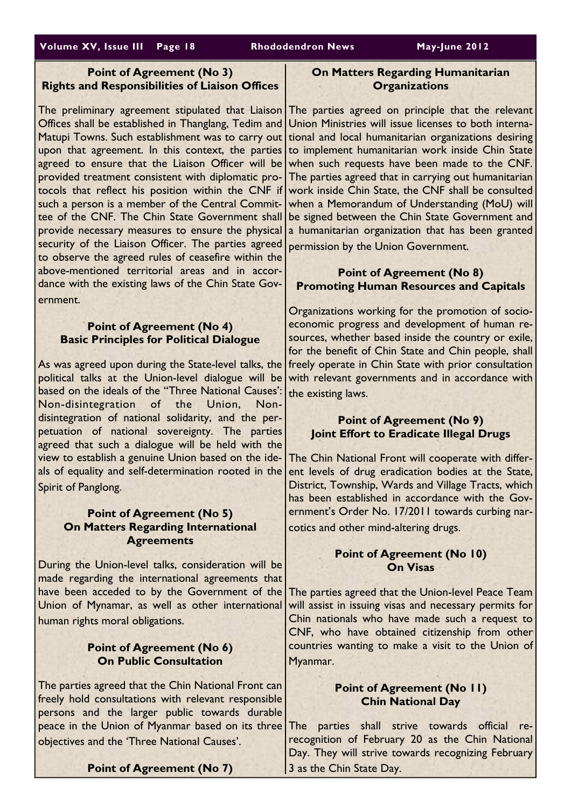## Volume XV, Issue III Page 18 Rhododendron News May-June 2012

# Point of Agreement (No 3) Rights and Responsibilities of Liaison Offices

The preliminary agreement stipulated that Liaison Offices shall be established in Thanglang, Tedim and Matupi Towns. Such establishment was to carry out upon that agreement. In this context, the parties agreed to ensure that the Liaison Officer will be provided treatment consistent with diplomatic protocols that reflect his position within the CNF if such a person is a member of the Central Committee of the CNF. The Chin State Government shall provide necessary measures to ensure the physical security of the Liaison Officer. The parties agreed to observe the agreed rules of ceasefire within the above-mentioned territorial areas and in accordance with the existing laws of the Chin State Government.

## Point of Agreement (No 4) Basic Principles for Political Dialogue

As was agreed upon during the State-level talks, the freely operate in Chin State with prior consultation political talks at the Union-level dialogue will be based on the ideals of the "Three National Causes': Non-disintegration of the Union, Nondisintegration of national solidarity, and the perpetuation of national sovereignty. The parties agreed that such a dialogue will be held with the view to establish a genuine Union based on the ideals of equality and self-determination rooted in the Spirit of Panglong.

## Point of Agreement (No 5) On Matters Regarding International **Agreements**

During the Union-level talks, consideration will be made regarding the international agreements that have been acceded to by the Government of the Union of Mynamar, as well as other international human rights moral obligations.

# Point of Agreement (No 6) On Public Consultation

The parties agreed that the Chin National Front can freely hold consultations with relevant responsible persons and the larger public towards durable peace in the Union of Myanmar based on its three objectives and the 'Three National Causes'.

# On Matters Regarding Humanitarian **Organizations**

The parties agreed on principle that the relevant Union Ministries will issue licenses to both international and local humanitarian organizations desiring to implement humanitarian work inside Chin State when such requests have been made to the CNF. The parties agreed that in carrying out humanitarian work inside Chin State, the CNF shall be consulted when a Memorandum of Understanding (MoU) will be signed between the Chin State Government and a humanitarian organization that has been granted permission by the Union Government.

## Point of Agreement (No 8) Promoting Human Resources and Capitals

Organizations working for the promotion of socioeconomic progress and development of human resources, whether based inside the country or exile, for the benefit of Chin State and Chin people, shall with relevant governments and in accordance with the existing laws.

# Point of Agreement (No 9) Joint Effort to Eradicate Illegal Drugs

The Chin National Front will cooperate with different levels of drug eradication bodies at the State, District, Township, Wards and Village Tracts, which has been established in accordance with the Government's Order No. 17/2011 towards curbing narcotics and other mind-altering drugs.

## Point of Agreement (No 10) On Visas

The parties agreed that the Union-level Peace Team will assist in issuing visas and necessary permits for Chin nationals who have made such a request to CNF, who have obtained citizenship from other countries wanting to make a visit to the Union of Myanmar.

# Point of Agreement (No 11) Chin National Day

The parties shall strive towards official rerecognition of February 20 as the Chin National Day. They will strive towards recognizing February 3 as the Chin State Day.

### Point of Agreement (No 7)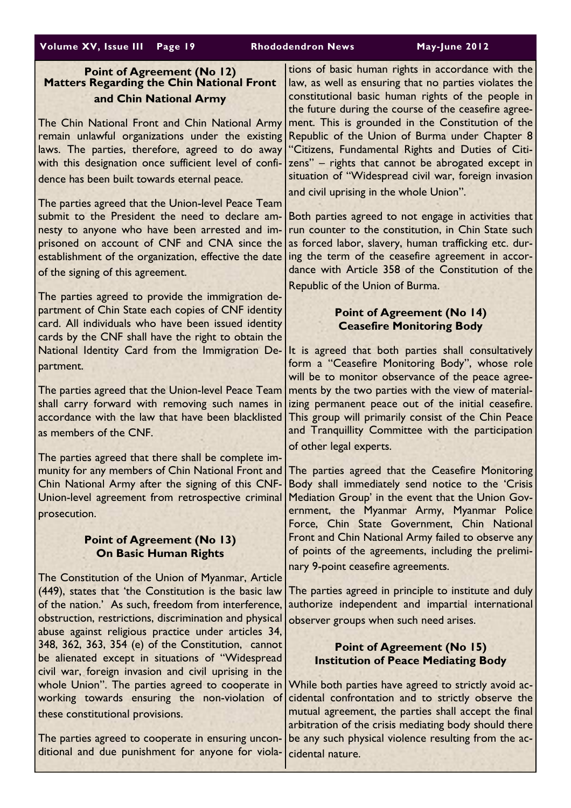# Point of Agreement (No 12) Matters Regarding the Chin National Front and Chin National Army

The Chin National Front and Chin National Army remain unlawful organizations under the existing laws. The parties, therefore, agreed to do away with this designation once sufficient level of confidence has been built towards eternal peace.

The parties agreed that the Union-level Peace Team submit to the President the need to declare amnesty to anyone who have been arrested and imprisoned on account of CNF and CNA since the establishment of the organization, effective the date of the signing of this agreement.

The parties agreed to provide the immigration department of Chin State each copies of CNF identity card. All individuals who have been issued identity cards by the CNF shall have the right to obtain the National Identity Card from the Immigration Department.

The parties agreed that the Union-level Peace Team shall carry forward with removing such names in accordance with the law that have been blacklisted as members of the CNF.

The parties agreed that there shall be complete immunity for any members of Chin National Front and Chin National Army after the signing of this CNF-Union-level agreement from retrospective criminal prosecution.

# Point of Agreement (No 13) On Basic Human Rights

The Constitution of the Union of Myanmar, Article (449), states that 'the Constitution is the basic law of the nation.' As such, freedom from interference, obstruction, restrictions, discrimination and physical abuse against religious practice under articles 34, 348, 362, 363, 354 (e) of the Constitution, cannot be alienated except in situations of "Widespread civil war, foreign invasion and civil uprising in the whole Union". The parties agreed to cooperate in working towards ensuring the non-violation of these constitutional provisions.

The parties agreed to cooperate in ensuring unconditional and due punishment for anyone for viola-

tions of basic human rights in accordance with the law, as well as ensuring that no parties violates the constitutional basic human rights of the people in the future during the course of the ceasefire agreement. This is grounded in the Constitution of the Republic of the Union of Burma under Chapter 8 "Citizens, Fundamental Rights and Duties of Citizens" – rights that cannot be abrogated except in situation of "Widespread civil war, foreign invasion and civil uprising in the whole Union".

Both parties agreed to not engage in activities that run counter to the constitution, in Chin State such as forced labor, slavery, human trafficking etc. during the term of the ceasefire agreement in accordance with Article 358 of the Constitution of the Republic of the Union of Burma.

# Point of Agreement (No 14) Ceasefire Monitoring Body

It is agreed that both parties shall consultatively form a "Ceasefire Monitoring Body", whose role will be to monitor observance of the peace agreements by the two parties with the view of materializing permanent peace out of the initial ceasefire. This group will primarily consist of the Chin Peace and Tranquillity Committee with the participation of other legal experts.

The parties agreed that the Ceasefire Monitoring Body shall immediately send notice to the 'Crisis Mediation Group' in the event that the Union Government, the Myanmar Army, Myanmar Police Force, Chin State Government, Chin National Front and Chin National Army failed to observe any of points of the agreements, including the preliminary 9-point ceasefire agreements.

The parties agreed in principle to institute and duly authorize independent and impartial international observer groups when such need arises.

# Point of Agreement (No 15) Institution of Peace Mediating Body

While both parties have agreed to strictly avoid accidental confrontation and to strictly observe the mutual agreement, the parties shall accept the final arbitration of the crisis mediating body should there be any such physical violence resulting from the accidental nature.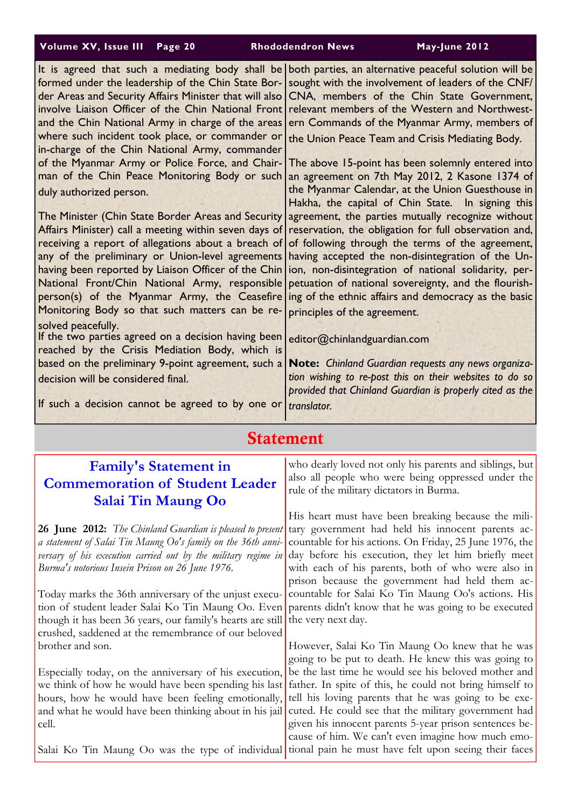| Volume XV, Issue III Page 20 |  |  |
|------------------------------|--|--|
|------------------------------|--|--|

Rhododendron News May-June 2012

| It is agreed that such a mediating body shall be<br>formed under the leadership of the Chin State Bor-<br>der Areas and Security Affairs Minister that will also<br>involve Liaison Officer of the Chin National Front<br>and the Chin National Army in charge of the areas<br>where such incident took place, or commander or<br>in-charge of the Chin National Army, commander<br>of the Myanmar Army or Police Force, and Chair-<br>man of the Chin Peace Monitoring Body or such<br>duly authorized person.<br>The Minister (Chin State Border Areas and Security<br>Affairs Minister) call a meeting within seven days of<br>receiving a report of allegations about a breach of<br>any of the preliminary or Union-level agreements<br>having been reported by Liaison Officer of the Chin<br>National Front/Chin National Army, responsible<br>person(s) of the Myanmar Army, the Ceasefire<br>Monitoring Body so that such matters can be re-<br>solved peacefully.<br>If the two parties agreed on a decision having been<br>reached by the Crisis Mediation Body, which is<br>based on the preliminary 9-point agreement, such a<br>decision will be considered final.<br>If such a decision cannot be agreed to by one or | both parties, an alternative peaceful solution will be<br>sought with the involvement of leaders of the CNF/<br>CNA, members of the Chin State Government,<br>relevant members of the Western and Northwest-<br>ern Commands of the Myanmar Army, members of<br>the Union Peace Team and Crisis Mediating Body.<br>The above 15-point has been solemnly entered into<br>an agreement on 7th May 2012, 2 Kasone 1374 of<br>the Myanmar Calendar, at the Union Guesthouse in<br>Hakha, the capital of Chin State. In signing this<br>agreement, the parties mutually recognize without<br>reservation, the obligation for full observation and,<br>of following through the terms of the agreement,<br>having accepted the non-disintegration of the Un-<br>ion, non-disintegration of national solidarity, per-<br>petuation of national sovereignty, and the flourish-<br>ing of the ethnic affairs and democracy as the basic<br>principles of the agreement.<br>editor@chinlandguardian.com<br>Note: Chinland Guardian requests any news organiza-<br>tion wishing to re-post this on their websites to do so<br>provided that Chinland Guardian is properly cited as the<br>translator. |  |
|--------------------------------------------------------------------------------------------------------------------------------------------------------------------------------------------------------------------------------------------------------------------------------------------------------------------------------------------------------------------------------------------------------------------------------------------------------------------------------------------------------------------------------------------------------------------------------------------------------------------------------------------------------------------------------------------------------------------------------------------------------------------------------------------------------------------------------------------------------------------------------------------------------------------------------------------------------------------------------------------------------------------------------------------------------------------------------------------------------------------------------------------------------------------------------------------------------------------------------------|--------------------------------------------------------------------------------------------------------------------------------------------------------------------------------------------------------------------------------------------------------------------------------------------------------------------------------------------------------------------------------------------------------------------------------------------------------------------------------------------------------------------------------------------------------------------------------------------------------------------------------------------------------------------------------------------------------------------------------------------------------------------------------------------------------------------------------------------------------------------------------------------------------------------------------------------------------------------------------------------------------------------------------------------------------------------------------------------------------------------------------------------------------------------------------------------|--|
|                                                                                                                                                                                                                                                                                                                                                                                                                                                                                                                                                                                                                                                                                                                                                                                                                                                                                                                                                                                                                                                                                                                                                                                                                                      |                                                                                                                                                                                                                                                                                                                                                                                                                                                                                                                                                                                                                                                                                                                                                                                                                                                                                                                                                                                                                                                                                                                                                                                            |  |
| <b>Statement</b>                                                                                                                                                                                                                                                                                                                                                                                                                                                                                                                                                                                                                                                                                                                                                                                                                                                                                                                                                                                                                                                                                                                                                                                                                     |                                                                                                                                                                                                                                                                                                                                                                                                                                                                                                                                                                                                                                                                                                                                                                                                                                                                                                                                                                                                                                                                                                                                                                                            |  |
| <b>Family's Statement in</b><br><b>Commemoration of Student Leader</b><br><b>Salai Tin Maung Oo</b>                                                                                                                                                                                                                                                                                                                                                                                                                                                                                                                                                                                                                                                                                                                                                                                                                                                                                                                                                                                                                                                                                                                                  | who dearly loved not only his parents and siblings, but<br>also all people who were being oppressed under the<br>rule of the military dictators in Burma.                                                                                                                                                                                                                                                                                                                                                                                                                                                                                                                                                                                                                                                                                                                                                                                                                                                                                                                                                                                                                                  |  |
| 26 June 2012: The Chinland Guardian is pleased to present                                                                                                                                                                                                                                                                                                                                                                                                                                                                                                                                                                                                                                                                                                                                                                                                                                                                                                                                                                                                                                                                                                                                                                            | His heart must have been breaking because the mili-<br>tary government had held his innocent parents ac-                                                                                                                                                                                                                                                                                                                                                                                                                                                                                                                                                                                                                                                                                                                                                                                                                                                                                                                                                                                                                                                                                   |  |

a statement of Salai Tin Maung Oo's family on the 36th anniversary of his execution carried out by the military regime in Burma's notorious Insein Prison on 26 June 1976.

Today marks the 36th anniversary of the unjust execution of student leader Salai Ko Tin Maung Oo. Even though it has been 36 years, our family's hearts are still crushed, saddened at the remembrance of our beloved brother and son.

Especially today, on the anniversary of his execution, we think of how he would have been spending his last hours, how he would have been feeling emotionally, and what he would have been thinking about in his jail cell.

tary government had held his innocent parents accountable for his actions. On Friday, 25 June 1976, the day before his execution, they let him briefly meet with each of his parents, both of who were also in prison because the government had held them accountable for Salai Ko Tin Maung Oo's actions. His parents didn't know that he was going to be executed the very next day.

Salai Ko Tin Maung Oo was the type of individual tional pain he must have felt upon seeing their faces However, Salai Ko Tin Maung Oo knew that he was going to be put to death. He knew this was going to be the last time he would see his beloved mother and father. In spite of this, he could not bring himself to tell his loving parents that he was going to be executed. He could see that the military government had given his innocent parents 5-year prison sentences because of him. We can't even imagine how much emo-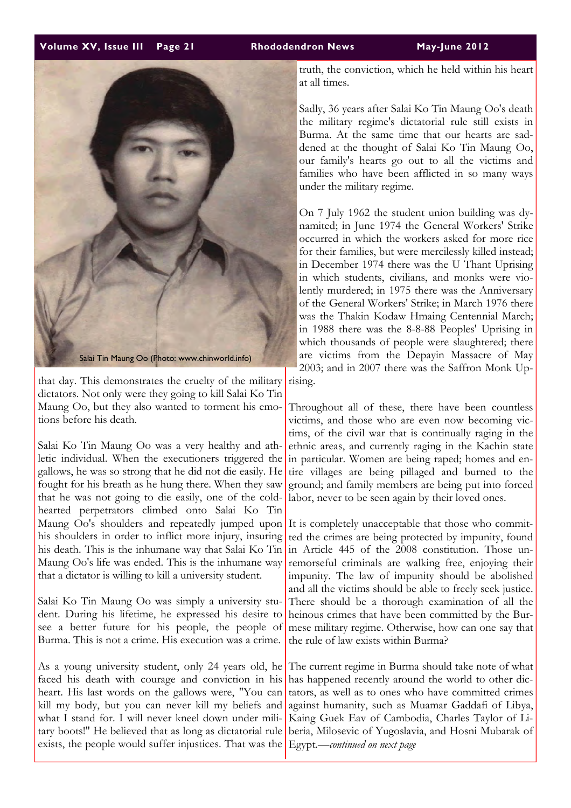#### Volume XV, Issue III Page 21 Rhododendron News May-June 2012



that day. This demonstrates the cruelty of the military dictators. Not only were they going to kill Salai Ko Tin Maung Oo, but they also wanted to torment his emotions before his death.

Salai Ko Tin Maung Oo was a very healthy and athletic individual. When the executioners triggered the gallows, he was so strong that he did not die easily. He fought for his breath as he hung there. When they saw that he was not going to die easily, one of the coldhearted perpetrators climbed onto Salai Ko Tin Maung Oo's shoulders and repeatedly jumped upon his shoulders in order to inflict more injury, insuring his death. This is the inhumane way that Salai Ko Tin Maung Oo's life was ended. This is the inhumane way that a dictator is willing to kill a university student.

Salai Ko Tin Maung Oo was simply a university student. During his lifetime, he expressed his desire to see a better future for his people, the people of Burma. This is not a crime. His execution was a crime.

As a young university student, only 24 years old, he faced his death with courage and conviction in his heart. His last words on the gallows were, "You can kill my body, but you can never kill my beliefs and what I stand for. I will never kneel down under military boots!" He believed that as long as dictatorial rule exists, the people would suffer injustices. That was the truth, the conviction, which he held within his heart at all times.

Sadly, 36 years after Salai Ko Tin Maung Oo's death the military regime's dictatorial rule still exists in Burma. At the same time that our hearts are saddened at the thought of Salai Ko Tin Maung Oo, our family's hearts go out to all the victims and families who have been afflicted in so many ways under the military regime.

On 7 July 1962 the student union building was dynamited; in June 1974 the General Workers' Strike occurred in which the workers asked for more rice for their families, but were mercilessly killed instead; in December 1974 there was the U Thant Uprising in which students, civilians, and monks were violently murdered; in 1975 there was the Anniversary of the General Workers' Strike; in March 1976 there was the Thakin Kodaw Hmaing Centennial March; in 1988 there was the 8-8-88 Peoples' Uprising in which thousands of people were slaughtered; there are victims from the Depayin Massacre of May 2003; and in 2007 there was the Saffron Monk Uprising.

Throughout all of these, there have been countless victims, and those who are even now becoming victims, of the civil war that is continually raging in the ethnic areas, and currently raging in the Kachin state in particular. Women are being raped; homes and entire villages are being pillaged and burned to the ground; and family members are being put into forced labor, never to be seen again by their loved ones.

It is completely unacceptable that those who committed the crimes are being protected by impunity, found in Article 445 of the 2008 constitution. Those unremorseful criminals are walking free, enjoying their impunity. The law of impunity should be abolished and all the victims should be able to freely seek justice. There should be a thorough examination of all the heinous crimes that have been committed by the Burmese military regime. Otherwise, how can one say that the rule of law exists within Burma?

The current regime in Burma should take note of what has happened recently around the world to other dictators, as well as to ones who have committed crimes against humanity, such as Muamar Gaddafi of Libya, Kaing Guek Eav of Cambodia, Charles Taylor of Liberia, Milosevic of Yugoslavia, and Hosni Mubarak of Egypt.—continued on next page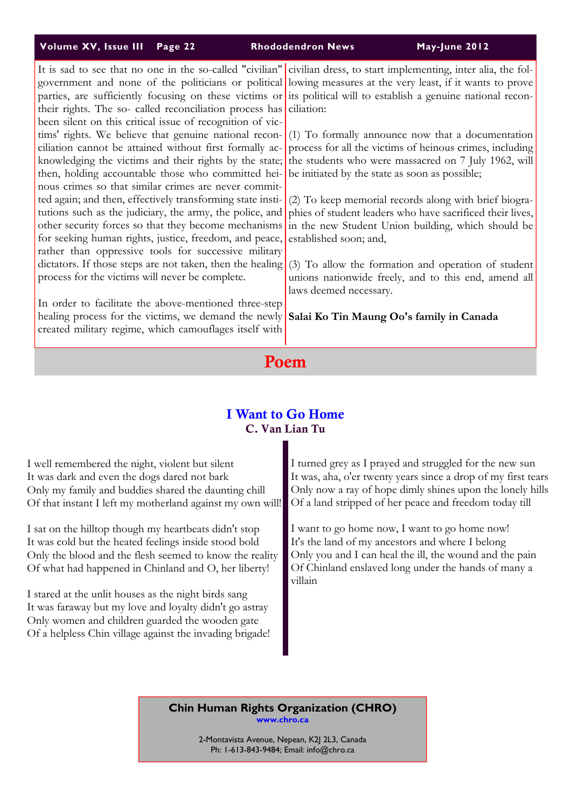### Volume XV, Issue III Page 22 Rhododendron News May-June 2012

It is sad to see that no one in the so-called "civilian" government and none of the politicians or political parties, are sufficiently focusing on these victims or their rights. The so- called reconciliation process has been silent on this critical issue of recognition of victims' rights. We believe that genuine national reconciliation cannot be attained without first formally acknowledging the victims and their rights by the state; then, holding accountable those who committed heinous crimes so that similar crimes are never committed again; and then, effectively transforming state institutions such as the judiciary, the army, the police, and other security forces so that they become mechanisms for seeking human rights, justice, freedom, and peace, rather than oppressive tools for successive military dictators. If those steps are not taken, then the healing process for the victims will never be complete.

In order to facilitate the above-mentioned three-step healing process for the victims, we demand the newly created military regime, which camouflages itself with

civilian dress, to start implementing, inter alia, the following measures at the very least, if it wants to prove its political will to establish a genuine national reconciliation:

(1) To formally announce now that a documentation process for all the victims of heinous crimes, including the students who were massacred on 7 July 1962, will be initiated by the state as soon as possible;

(2) To keep memorial records along with brief biographies of student leaders who have sacrificed their lives, in the new Student Union building, which should be established soon; and,

(3) To allow the formation and operation of student unions nationwide freely, and to this end, amend all laws deemed necessary.

#### Salai Ko Tin Maung Oo's family in Canada

# Poem

# I Want to Go Home C. Van Lian Tu

| I well remembered the night, violent but silent<br>It was dark and even the dogs dared not bark<br>Only my family and buddies shared the daunting chill<br>Of that instant I left my motherland against my own will!              | I turned grey as I prayed and struggled for the new sun<br>It was, aha, o'er twenty years since a drop of my first tears<br>Only now a ray of hope dimly shines upon the lonely hills<br>Of a land stripped of her peace and freedom today till |
|-----------------------------------------------------------------------------------------------------------------------------------------------------------------------------------------------------------------------------------|-------------------------------------------------------------------------------------------------------------------------------------------------------------------------------------------------------------------------------------------------|
| I sat on the hilltop though my heartbeats didn't stop<br>It was cold but the heated feelings inside stood bold<br>Only the blood and the flesh seemed to know the reality<br>Of what had happened in Chinland and O, her liberty! | I want to go home now, I want to go home now!<br>It's the land of my ancestors and where I belong<br>Only you and I can heal the ill, the wound and the pain<br>Of Chinland enslaved long under the hands of many a<br>villain                  |
| I stared at the unlit houses as the night birds sang<br>It was faraway but my love and loyalty didn't go astray<br>Only women and children guarded the wooden gate<br>Of a helpless Chin village against the invading brigade!    |                                                                                                                                                                                                                                                 |

Chin Human Rights Organization (CHRO) www.chro.ca

> 2-Montavista Avenue, Nepean, K2J 2L3, Canada Ph: 1-613-843-9484; Email: info@chro.ca